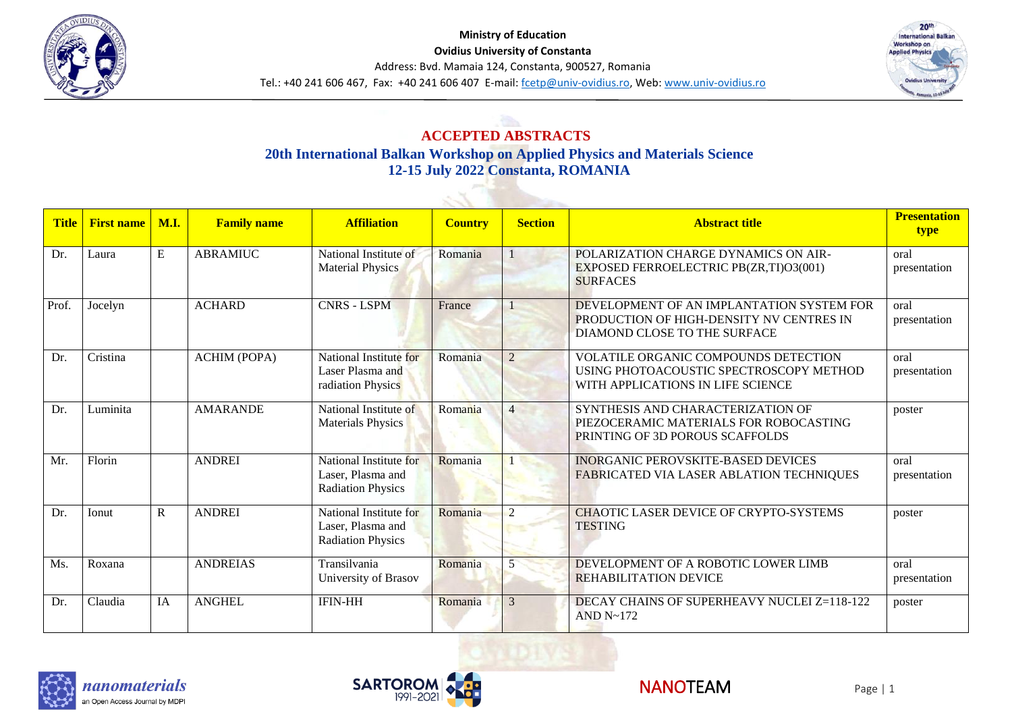



# **ACCEPTED ABSTRACTS 20th International Balkan Workshop on Applied Physics and Materials Science 12-15 July 2022 Constanta, ROMANIA**

 $\sim$ 3

| <b>Title</b> | <b>First name</b> | M.I.        | <b>Family name</b>  | <b>Affiliation</b>                                                      | <b>Country</b> | <b>Section</b> | <b>Abstract title</b>                                                                                                       | <b>Presentation</b><br>type |
|--------------|-------------------|-------------|---------------------|-------------------------------------------------------------------------|----------------|----------------|-----------------------------------------------------------------------------------------------------------------------------|-----------------------------|
| Dr.          | Laura             | E           | <b>ABRAMIUC</b>     | National Institute of<br><b>Material Physics</b>                        | Romania        |                | POLARIZATION CHARGE DYNAMICS ON AIR-<br>EXPOSED FERROELECTRIC PB(ZR,TI)O3(001)<br><b>SURFACES</b>                           | oral<br>presentation        |
| Prof.        | Jocelyn           |             | <b>ACHARD</b>       | <b>CNRS - LSPM</b>                                                      | France         |                | DEVELOPMENT OF AN IMPLANTATION SYSTEM FOR<br>PRODUCTION OF HIGH-DENSITY NV CENTRES IN<br>DIAMOND CLOSE TO THE SURFACE       | oral<br>presentation        |
| Dr.          | Cristina          |             | <b>ACHIM (POPA)</b> | National Institute for<br>Laser Plasma and<br>radiation Physics         | Romania        | $\overline{2}$ | <b>VOLATILE ORGANIC COMPOUNDS DETECTION</b><br>USING PHOTOACOUSTIC SPECTROSCOPY METHOD<br>WITH APPLICATIONS IN LIFE SCIENCE | oral<br>presentation        |
| Dr.          | Luminita          |             | <b>AMARANDE</b>     | National Institute of<br><b>Materials Physics</b>                       | Romania        | $\overline{4}$ | SYNTHESIS AND CHARACTERIZATION OF<br>PIEZOCERAMIC MATERIALS FOR ROBOCASTING<br>PRINTING OF 3D POROUS SCAFFOLDS              | poster                      |
| Mr.          | Florin            |             | <b>ANDREI</b>       | National Institute for<br>Laser, Plasma and<br><b>Radiation Physics</b> | Romania        |                | <b>INORGANIC PEROVSKITE-BASED DEVICES</b><br>FABRICATED VIA LASER ABLATION TECHNIQUES                                       | oral<br>presentation        |
| Dr.          | Ionut             | $\mathbf R$ | <b>ANDREI</b>       | National Institute for<br>Laser, Plasma and<br><b>Radiation Physics</b> | Romania        | $\overline{2}$ | <b>CHAOTIC LASER DEVICE OF CRYPTO-SYSTEMS</b><br><b>TESTING</b>                                                             | poster                      |
| Ms.          | Roxana            |             | <b>ANDREIAS</b>     | Transilvania<br>University of Brasov                                    | Romania        | 5              | DEVELOPMENT OF A ROBOTIC LOWER LIMB<br><b>REHABILITATION DEVICE</b>                                                         | oral<br>presentation        |
| Dr.          | Claudia           | IA          | <b>ANGHEL</b>       | <b>IFIN-HH</b>                                                          | Romania        | 3              | DECAY CHAINS OF SUPERHEAVY NUCLEI Z=118-122<br>AND $N \sim 172$                                                             | poster                      |





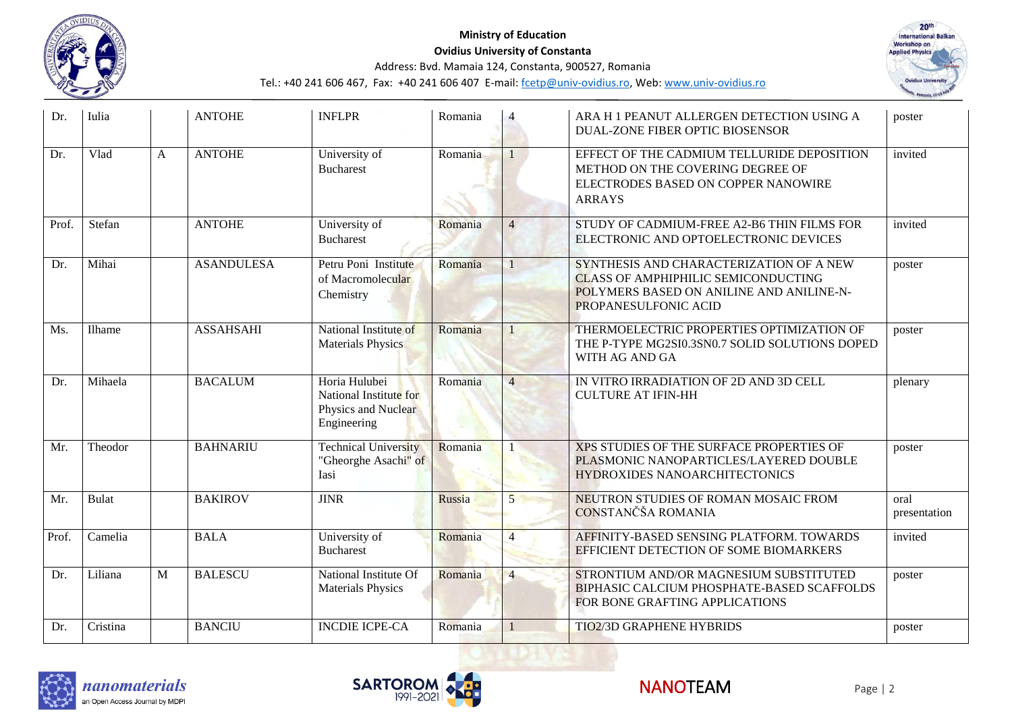



| Dr.   | Iulia        |   | <b>ANTOHE</b>     | <b>INFLPR</b>                                                                 | Romania |                | ARA H 1 PEANUT ALLERGEN DETECTION USING A<br>DUAL-ZONE FIBER OPTIC BIOSENSOR                                                                              | poster               |
|-------|--------------|---|-------------------|-------------------------------------------------------------------------------|---------|----------------|-----------------------------------------------------------------------------------------------------------------------------------------------------------|----------------------|
| Dr.   | Vlad         | A | <b>ANTOHE</b>     | University of<br><b>Bucharest</b>                                             | Romania |                | EFFECT OF THE CADMIUM TELLURIDE DEPOSITION<br>METHOD ON THE COVERING DEGREE OF<br>ELECTRODES BASED ON COPPER NANOWIRE<br><b>ARRAYS</b>                    | invited              |
| Prof. | Stefan       |   | <b>ANTOHE</b>     | University of<br><b>Bucharest</b>                                             | Romania | $\overline{4}$ | STUDY OF CADMIUM-FREE A2-B6 THIN FILMS FOR<br>ELECTRONIC AND OPTOELECTRONIC DEVICES                                                                       | invited              |
| Dr.   | Mihai        |   | <b>ASANDULESA</b> | Petru Poni Institute<br>of Macromolecular<br>Chemistry                        | Romania |                | SYNTHESIS AND CHARACTERIZATION OF A NEW<br><b>CLASS OF AMPHIPHILIC SEMICONDUCTING</b><br>POLYMERS BASED ON ANILINE AND ANILINE-N-<br>PROPANESULFONIC ACID | poster               |
| Ms.   | Ilhame       |   | <b>ASSAHSAHI</b>  | National Institute of<br><b>Materials Physics</b>                             | Romania |                | THERMOELECTRIC PROPERTIES OPTIMIZATION OF<br>THE P-TYPE MG2SI0.3SN0.7 SOLID SOLUTIONS DOPED<br>WITH AG AND GA                                             | poster               |
| Dr.   | Mihaela      |   | <b>BACALUM</b>    | Horia Hulubei<br>National Institute for<br>Physics and Nuclear<br>Engineering | Romania | $\overline{4}$ | IN VITRO IRRADIATION OF 2D AND 3D CELL<br><b>CULTURE AT IFIN-HH</b>                                                                                       | plenary              |
| Mr.   | Theodor      |   | <b>BAHNARIU</b>   | <b>Technical University</b><br>"Gheorghe Asachi" of<br>Iasi                   | Romania |                | XPS STUDIES OF THE SURFACE PROPERTIES OF<br>PLASMONIC NANOPARTICLES/LAYERED DOUBLE<br>HYDROXIDES NANOARCHITECTONICS                                       | poster               |
| Mr.   | <b>Bulat</b> |   | <b>BAKIROV</b>    | <b>JINR</b>                                                                   | Russia  | $\overline{5}$ | NEUTRON STUDIES OF ROMAN MOSAIC FROM<br>CONSTANČŠA ROMANIA                                                                                                | oral<br>presentation |
| Prof. | Camelia      |   | <b>BALA</b>       | University of<br><b>Bucharest</b>                                             | Romania | $\overline{4}$ | AFFINITY-BASED SENSING PLATFORM. TOWARDS<br>EFFICIENT DETECTION OF SOME BIOMARKERS                                                                        | invited              |
| Dr.   | Liliana      | M | <b>BALESCU</b>    | National Institute Of<br><b>Materials Physics</b>                             | Romania | $\overline{4}$ | STRONTIUM AND/OR MAGNESIUM SUBSTITUTED<br><b>BIPHASIC CALCIUM PHOSPHATE-BASED SCAFFOLDS</b><br>FOR BONE GRAFTING APPLICATIONS                             | poster               |
| Dr.   | Cristina     |   | <b>BANCIU</b>     | <b>INCDIE ICPE-CA</b>                                                         | Romania |                | <b>TIO2/3D GRAPHENE HYBRIDS</b>                                                                                                                           | poster               |





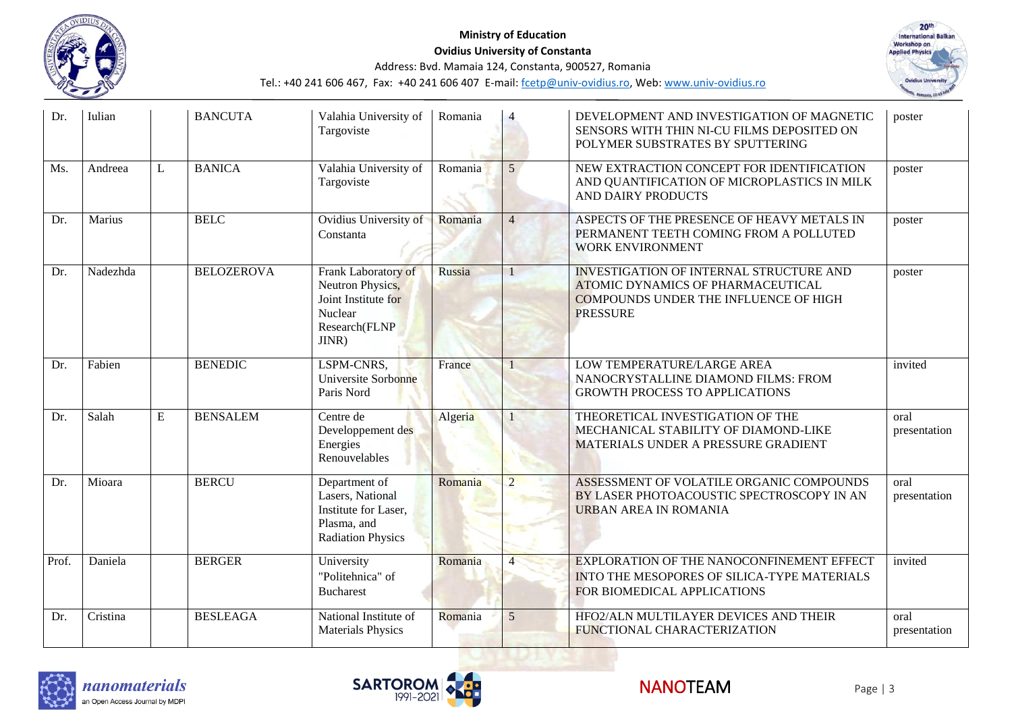



| Dr.   | Iulian   |   | <b>BANCUTA</b>    | Valahia University of<br>Targoviste                                                                  | Romania |                | DEVELOPMENT AND INVESTIGATION OF MAGNETIC<br>SENSORS WITH THIN NI-CU FILMS DEPOSITED ON<br>POLYMER SUBSTRATES BY SPUTTERING                                   | poster               |
|-------|----------|---|-------------------|------------------------------------------------------------------------------------------------------|---------|----------------|---------------------------------------------------------------------------------------------------------------------------------------------------------------|----------------------|
| Ms.   | Andreea  | L | <b>BANICA</b>     | Valahia University of<br>Targoviste                                                                  | Romania | $\mathfrak{H}$ | NEW EXTRACTION CONCEPT FOR IDENTIFICATION<br>AND QUANTIFICATION OF MICROPLASTICS IN MILK<br>AND DAIRY PRODUCTS                                                | poster               |
| Dr.   | Marius   |   | <b>BELC</b>       | Ovidius University of<br>Constanta                                                                   | Romania | $\overline{4}$ | ASPECTS OF THE PRESENCE OF HEAVY METALS IN<br>PERMANENT TEETH COMING FROM A POLLUTED<br><b>WORK ENVIRONMENT</b>                                               | poster               |
| Dr.   | Nadezhda |   | <b>BELOZEROVA</b> | Frank Laboratory of<br>Neutron Physics,<br>Joint Institute for<br>Nuclear<br>Research(FLNP<br>JINR)  | Russia  |                | <b>INVESTIGATION OF INTERNAL STRUCTURE AND</b><br><b>ATOMIC DYNAMICS OF PHARMACEUTICAL</b><br><b>COMPOUNDS UNDER THE INFLUENCE OF HIGH</b><br><b>PRESSURE</b> | poster               |
| Dr.   | Fabien   |   | <b>BENEDIC</b>    | LSPM-CNRS,<br>Universite Sorbonne<br>Paris Nord                                                      | France  |                | LOW TEMPERATURE/LARGE AREA<br>NANOCRYSTALLINE DIAMOND FILMS: FROM<br><b>GROWTH PROCESS TO APPLICATIONS</b>                                                    | invited              |
| Dr.   | Salah    | E | <b>BENSALEM</b>   | Centre de<br>Developpement des<br>Energies<br>Renouvelables                                          | Algeria |                | THEORETICAL INVESTIGATION OF THE<br>MECHANICAL STABILITY OF DIAMOND-LIKE<br>MATERIALS UNDER A PRESSURE GRADIENT                                               | oral<br>presentation |
| Dr.   | Mioara   |   | <b>BERCU</b>      | Department of<br>Lasers, National<br>Institute for Laser,<br>Plasma, and<br><b>Radiation Physics</b> | Romania | $\overline{2}$ | ASSESSMENT OF VOLATILE ORGANIC COMPOUNDS<br>BY LASER PHOTOACOUSTIC SPECTROSCOPY IN AN<br>URBAN AREA IN ROMANIA                                                | oral<br>presentation |
| Prof. | Daniela  |   | <b>BERGER</b>     | University<br>"Politehnica" of<br><b>Bucharest</b>                                                   | Romania |                | EXPLORATION OF THE NANOCONFINEMENT EFFECT<br>INTO THE MESOPORES OF SILICA-TYPE MATERIALS<br>FOR BIOMEDICAL APPLICATIONS                                       | invited              |
| Dr.   | Cristina |   | <b>BESLEAGA</b>   | National Institute of<br><b>Materials Physics</b>                                                    | Romania | 5              | HFO2/ALN MULTILAYER DEVICES AND THEIR<br>FUNCTIONAL CHARACTERIZATION                                                                                          | oral<br>presentation |





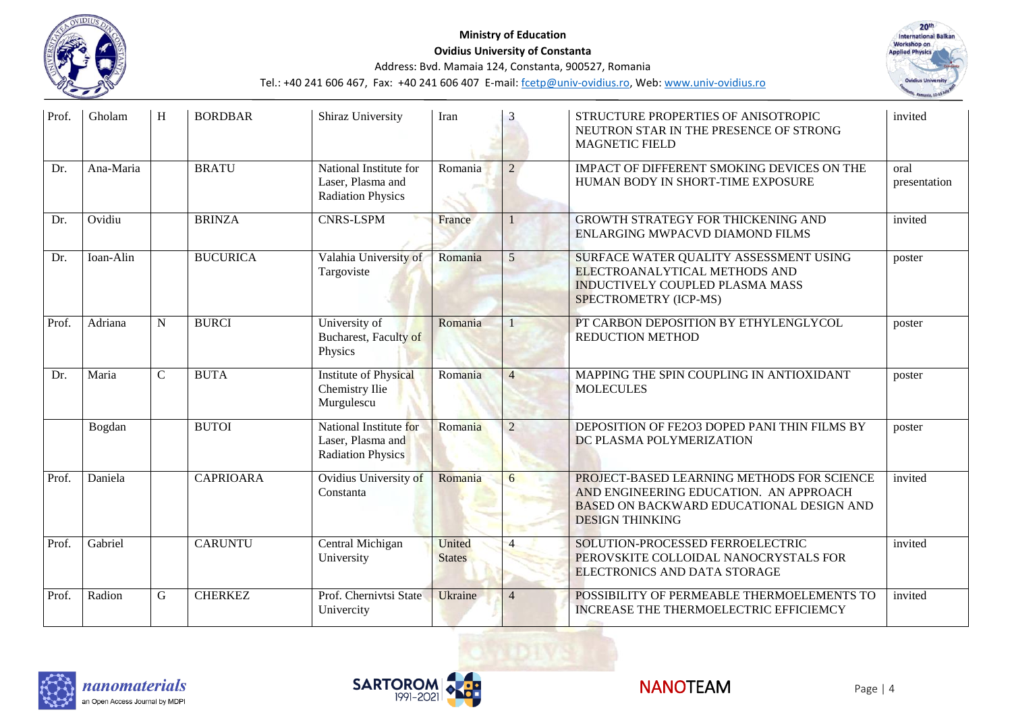



| Prof. | Gholam    | H              | <b>BORDBAR</b>   | Shiraz University                                                       | Iran                    | 3              | STRUCTURE PROPERTIES OF ANISOTROPIC<br>NEUTRON STAR IN THE PRESENCE OF STRONG<br><b>MAGNETIC FIELD</b>                                                            | invited              |
|-------|-----------|----------------|------------------|-------------------------------------------------------------------------|-------------------------|----------------|-------------------------------------------------------------------------------------------------------------------------------------------------------------------|----------------------|
| Dr.   | Ana-Maria |                | <b>BRATU</b>     | National Institute for<br>Laser, Plasma and<br><b>Radiation Physics</b> | Romania                 | $\mathfrak{D}$ | IMPACT OF DIFFERENT SMOKING DEVICES ON THE<br>HUMAN BODY IN SHORT-TIME EXPOSURE                                                                                   | oral<br>presentation |
| Dr.   | Ovidiu    |                | <b>BRINZA</b>    | <b>CNRS-LSPM</b>                                                        | France                  |                | <b>GROWTH STRATEGY FOR THICKENING AND</b><br>ENLARGING MWPACVD DIAMOND FILMS                                                                                      | invited              |
| Dr.   | Ioan-Alin |                | <b>BUCURICA</b>  | Valahia University of<br>Targoviste                                     | Romania                 | 5              | SURFACE WATER QUALITY ASSESSMENT USING<br>ELECTROANALYTICAL METHODS AND<br><b>INDUCTIVELY COUPLED PLASMA MASS</b><br>SPECTROMETRY (ICP-MS)                        | poster               |
| Prof. | Adriana   | N              | <b>BURCI</b>     | University of<br><b>Bucharest</b> , Faculty of<br>Physics               | Romania                 |                | PT CARBON DEPOSITION BY ETHYLENGLYCOL<br><b>REDUCTION METHOD</b>                                                                                                  | poster               |
| Dr.   | Maria     | $\overline{C}$ | <b>BUTA</b>      | <b>Institute of Physical</b><br>Chemistry Ilie<br>Murgulescu            | Romania                 | $\overline{4}$ | MAPPING THE SPIN COUPLING IN ANTIOXIDANT<br><b>MOLECULES</b>                                                                                                      | poster               |
|       | Bogdan    |                | <b>BUTOI</b>     | National Institute for<br>Laser, Plasma and<br><b>Radiation Physics</b> | Romania                 | $\overline{2}$ | DEPOSITION OF FE2O3 DOPED PANI THIN FILMS BY<br>DC PLASMA POLYMERIZATION                                                                                          | poster               |
| Prof. | Daniela   |                | <b>CAPRIOARA</b> | Ovidius University of<br>Constanta                                      | Romania                 | 6              | PROJECT-BASED LEARNING METHODS FOR SCIENCE<br>AND ENGINEERING EDUCATION. AN APPROACH<br><b>BASED ON BACKWARD EDUCATIONAL DESIGN AND</b><br><b>DESIGN THINKING</b> | invited              |
| Prof. | Gabriel   |                | <b>CARUNTU</b>   | Central Michigan<br>University                                          | United<br><b>States</b> |                | SOLUTION-PROCESSED FERROELECTRIC<br>PEROVSKITE COLLOIDAL NANOCRYSTALS FOR<br>ELECTRONICS AND DATA STORAGE                                                         | invited              |
| Prof. | Radion    | ${\bf G}$      | <b>CHERKEZ</b>   | Prof. Chernivtsi State<br>Univercity                                    | <b>Ukraine</b>          | $\overline{4}$ | POSSIBILITY OF PERMEABLE THERMOELEMENTS TO<br><b>INCREASE THE THERMOELECTRIC EFFICIEMCY</b>                                                                       | invited              |





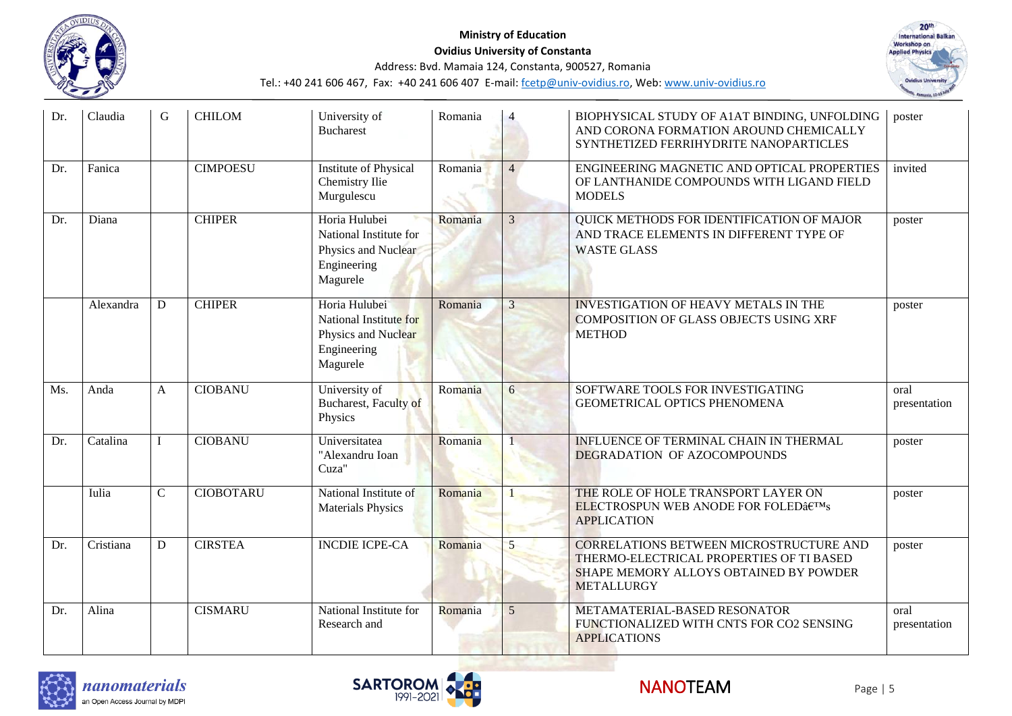



| Dr. | Claudia   | G              | <b>CHILOM</b>    | University of<br><b>Bucharest</b>                                                         | Romania |                | BIOPHYSICAL STUDY OF A1AT BINDING, UNFOLDING<br>AND CORONA FORMATION AROUND CHEMICALLY<br>SYNTHETIZED FERRIHYDRITE NANOPARTICLES                          | poster               |
|-----|-----------|----------------|------------------|-------------------------------------------------------------------------------------------|---------|----------------|-----------------------------------------------------------------------------------------------------------------------------------------------------------|----------------------|
| Dr. | Fanica    |                | <b>CIMPOESU</b>  | Institute of Physical<br>Chemistry Ilie<br>Murgulescu                                     | Romania | $\overline{4}$ | ENGINEERING MAGNETIC AND OPTICAL PROPERTIES<br>OF LANTHANIDE COMPOUNDS WITH LIGAND FIELD<br><b>MODELS</b>                                                 | invited              |
| Dr. | Diana     |                | <b>CHIPER</b>    | Horia Hulubei<br>National Institute for<br>Physics and Nuclear<br>Engineering<br>Magurele | Romania | 3              | QUICK METHODS FOR IDENTIFICATION OF MAJOR<br>AND TRACE ELEMENTS IN DIFFERENT TYPE OF<br><b>WASTE GLASS</b>                                                | poster               |
|     | Alexandra | D              | <b>CHIPER</b>    | Horia Hulubei<br>National Institute for<br>Physics and Nuclear<br>Engineering<br>Magurele | Romania | 3              | <b>INVESTIGATION OF HEAVY METALS IN THE</b><br>COMPOSITION OF GLASS OBJECTS USING XRF<br><b>METHOD</b>                                                    | poster               |
| Ms. | Anda      | A              | <b>CIOBANU</b>   | University of<br><b>Bucharest</b> , Faculty of<br>Physics                                 | Romania | 6              | SOFTWARE TOOLS FOR INVESTIGATING<br><b>GEOMETRICAL OPTICS PHENOMENA</b>                                                                                   | oral<br>presentation |
| Dr. | Catalina  |                | <b>CIOBANU</b>   | Universitatea<br>"Alexandru Ioan<br>Cuza"                                                 | Romania |                | INFLUENCE OF TERMINAL CHAIN IN THERMAL<br>DEGRADATION OF AZOCOMPOUNDS                                                                                     | poster               |
|     | Iulia     | $\overline{C}$ | <b>CIOBOTARU</b> | National Institute of<br><b>Materials Physics</b>                                         | Romania |                | THE ROLE OF HOLE TRANSPORT LAYER ON<br><b>ELECTROSPUN WEB ANODE FOR FOLED's</b><br><b>APPLICATION</b>                                                     | poster               |
| Dr. | Cristiana | D              | <b>CIRSTEA</b>   | <b>INCDIE ICPE-CA</b>                                                                     | Romania | 5              | <b>CORRELATIONS BETWEEN MICROSTRUCTURE AND</b><br>THERMO-ELECTRICAL PROPERTIES OF TI BASED<br>SHAPE MEMORY ALLOYS OBTAINED BY POWDER<br><b>METALLURGY</b> | poster               |
| Dr. | Alina     |                | <b>CISMARU</b>   | National Institute for<br>Research and                                                    | Romania | $\mathfrak{H}$ | METAMATERIAL-BASED RESONATOR<br>FUNCTIONALIZED WITH CNTS FOR CO2 SENSING<br><b>APPLICATIONS</b>                                                           | oral<br>presentation |





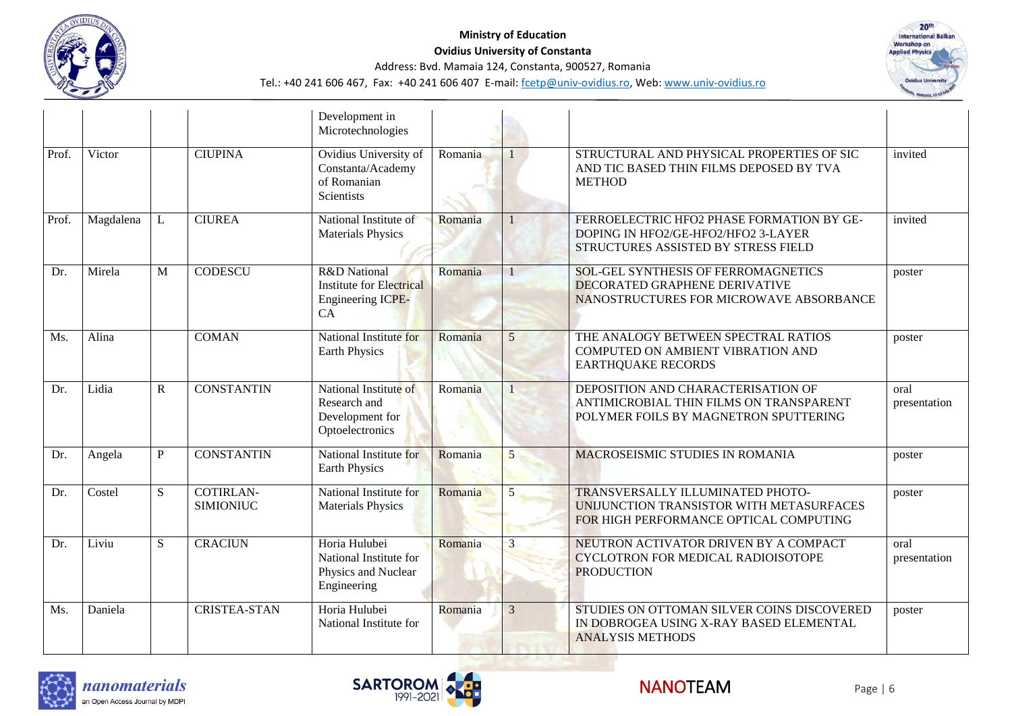

#### **Ministry of Education Ovidius University of Constanta** Address: Bvd. Mamaia 124, Constanta, 900527, Romania Tel.: +40 241 606 467, Fax: +40 241 606 407 E-mail[: fcetp@univ-ovidius.ro,](mailto:fcetp@univ-ovidius.ro) Web[: www.univ-ovidius.ro](http://www.univ-ovidius.ro/)



|       |           |              |                                      | Development in<br>Microtechnologies                                           |         |              |                                                                                                                               |                      |
|-------|-----------|--------------|--------------------------------------|-------------------------------------------------------------------------------|---------|--------------|-------------------------------------------------------------------------------------------------------------------------------|----------------------|
| Prof. | Victor    |              | <b>CIUPINA</b>                       | Ovidius University of<br>Constanta/Academy<br>of Romanian<br>Scientists       | Romania |              | STRUCTURAL AND PHYSICAL PROPERTIES OF SIC<br>AND TIC BASED THIN FILMS DEPOSED BY TVA<br><b>METHOD</b>                         | invited              |
| Prof. | Magdalena | L            | <b>CIUREA</b>                        | National Institute of<br><b>Materials Physics</b>                             | Romania |              | FERROELECTRIC HFO2 PHASE FORMATION BY GE-<br>DOPING IN HFO2/GE-HFO2/HFO2 3-LAYER<br>STRUCTURES ASSISTED BY STRESS FIELD       | invited              |
| Dr.   | Mirela    | M            | <b>CODESCU</b>                       | R&D National<br><b>Institute for Electrical</b><br>Engineering ICPE-<br>CA    | Romania | $\mathbf{1}$ | <b>SOL-GEL SYNTHESIS OF FERROMAGNETICS</b><br><b>DECORATED GRAPHENE DERIVATIVE</b><br>NANOSTRUCTURES FOR MICROWAVE ABSORBANCE | poster               |
| Ms.   | Alina     |              | <b>COMAN</b>                         | National Institute for<br><b>Earth Physics</b>                                | Romania | 5            | THE ANALOGY BETWEEN SPECTRAL RATIOS<br>COMPUTED ON AMBIENT VIBRATION AND<br><b>EARTHQUAKE RECORDS</b>                         | poster               |
| Dr.   | Lidia     | ${\bf R}$    | <b>CONSTANTIN</b>                    | National Institute of<br>Research and<br>Development for<br>Optoelectronics   | Romania |              | DEPOSITION AND CHARACTERISATION OF<br>ANTIMICROBIAL THIN FILMS ON TRANSPARENT<br>POLYMER FOILS BY MAGNETRON SPUTTERING        | oral<br>presentation |
| Dr.   | Angela    | $\mathbf{P}$ | <b>CONSTANTIN</b>                    | National Institute for<br><b>Earth Physics</b>                                | Romania | 5            | MACROSEISMIC STUDIES IN ROMANIA                                                                                               | poster               |
| Dr.   | Costel    | S            | <b>COTIRLAN-</b><br><b>SIMIONIUC</b> | National Institute for<br><b>Materials Physics</b>                            | Romania | 5            | TRANSVERSALLY ILLUMINATED PHOTO-<br>UNIJUNCTION TRANSISTOR WITH METASURFACES<br>FOR HIGH PERFORMANCE OPTICAL COMPUTING        | poster               |
| Dr.   | Liviu     | S            | <b>CRACIUN</b>                       | Horia Hulubei<br>National Institute for<br>Physics and Nuclear<br>Engineering | Romania | 3            | NEUTRON ACTIVATOR DRIVEN BY A COMPACT<br>CYCLOTRON FOR MEDICAL RADIOISOTOPE<br><b>PRODUCTION</b>                              | oral<br>presentation |
| Ms.   | Daniela   |              | <b>CRISTEA-STAN</b>                  | Horia Hulubei<br>National Institute for                                       | Romania | 3            | STUDIES ON OTTOMAN SILVER COINS DISCOVERED<br>IN DOBROGEA USING X-RAY BASED ELEMENTAL<br><b>ANALYSIS METHODS</b>              | poster               |





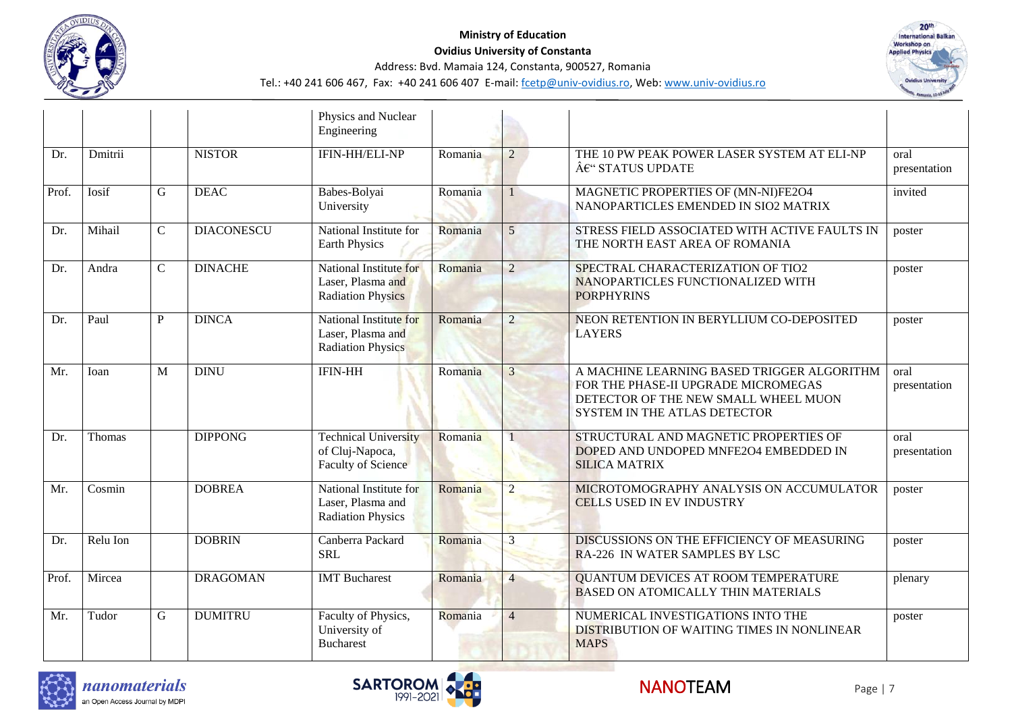



|       |          |             |                   | Physics and Nuclear<br>Engineering                                          |         |                 |                                                                                                                                                                  |                      |
|-------|----------|-------------|-------------------|-----------------------------------------------------------------------------|---------|-----------------|------------------------------------------------------------------------------------------------------------------------------------------------------------------|----------------------|
| Dr.   | Dmitrii  |             | <b>NISTOR</b>     | IFIN-HH/ELI-NP                                                              | Romania | $\overline{2}$  | THE 10 PW PEAK POWER LASER SYSTEM AT ELI-NP<br>€" STATUS UPDATE                                                                                                  | oral<br>presentation |
| Prof. | Iosif    | G           | <b>DEAC</b>       | Babes-Bolyai<br>University                                                  | Romania |                 | MAGNETIC PROPERTIES OF (MN-NI)FE2O4<br>NANOPARTICLES EMENDED IN SIO2 MATRIX                                                                                      | invited              |
| Dr.   | Mihail   | $\mathbf C$ | <b>DIACONESCU</b> | National Institute for<br><b>Earth Physics</b>                              | Romania | $5\overline{)}$ | STRESS FIELD ASSOCIATED WITH ACTIVE FAULTS IN<br>THE NORTH EAST AREA OF ROMANIA                                                                                  | poster               |
| Dr.   | Andra    | $\mathbf C$ | <b>DINACHE</b>    | National Institute for<br>Laser, Plasma and<br><b>Radiation Physics</b>     | Romania | $\overline{2}$  | SPECTRAL CHARACTERIZATION OF TIO2<br>NANOPARTICLES FUNCTIONALIZED WITH<br><b>PORPHYRINS</b>                                                                      | poster               |
| Dr.   | Paul     | P           | <b>DINCA</b>      | National Institute for<br>Laser, Plasma and<br><b>Radiation Physics</b>     | Romania | $\overline{2}$  | NEON RETENTION IN BERYLLIUM CO-DEPOSITED<br><b>LAYERS</b>                                                                                                        | poster               |
| Mr.   | Ioan     | M           | <b>DINU</b>       | <b>IFIN-HH</b>                                                              | Romania | 3               | A MACHINE LEARNING BASED TRIGGER ALGORITHM<br>FOR THE PHASE-II UPGRADE MICROMEGAS<br>DETECTOR OF THE NEW SMALL WHEEL MUON<br><b>SYSTEM IN THE ATLAS DETECTOR</b> | oral<br>presentation |
| Dr.   | Thomas   |             | <b>DIPPONG</b>    | <b>Technical University</b><br>of Cluj-Napoca,<br><b>Faculty of Science</b> | Romania |                 | STRUCTURAL AND MAGNETIC PROPERTIES OF<br>DOPED AND UNDOPED MNFE2O4 EMBEDDED IN<br><b>SILICA MATRIX</b>                                                           | oral<br>presentation |
| Mr.   | Cosmin   |             | <b>DOBREA</b>     | National Institute for<br>Laser, Plasma and<br><b>Radiation Physics</b>     | Romania | $\overline{2}$  | MICROTOMOGRAPHY ANALYSIS ON ACCUMULATOR<br><b>CELLS USED IN EV INDUSTRY</b>                                                                                      | poster               |
| Dr.   | Relu Ion |             | <b>DOBRIN</b>     | Canberra Packard<br><b>SRL</b>                                              | Romania | 3               | DISCUSSIONS ON THE EFFICIENCY OF MEASURING<br>RA-226 IN WATER SAMPLES BY LSC                                                                                     | poster               |
| Prof. | Mircea   |             | <b>DRAGOMAN</b>   | <b>IMT</b> Bucharest                                                        | Romania | $\overline{4}$  | <b>QUANTUM DEVICES AT ROOM TEMPERATURE</b><br><b>BASED ON ATOMICALLY THIN MATERIALS</b>                                                                          | plenary              |
| Mr.   | Tudor    | G           | <b>DUMITRU</b>    | Faculty of Physics,<br>University of<br><b>Bucharest</b>                    | Romania | $\overline{4}$  | NUMERICAL INVESTIGATIONS INTO THE<br>DISTRIBUTION OF WAITING TIMES IN NONLINEAR<br><b>MAPS</b>                                                                   | poster               |





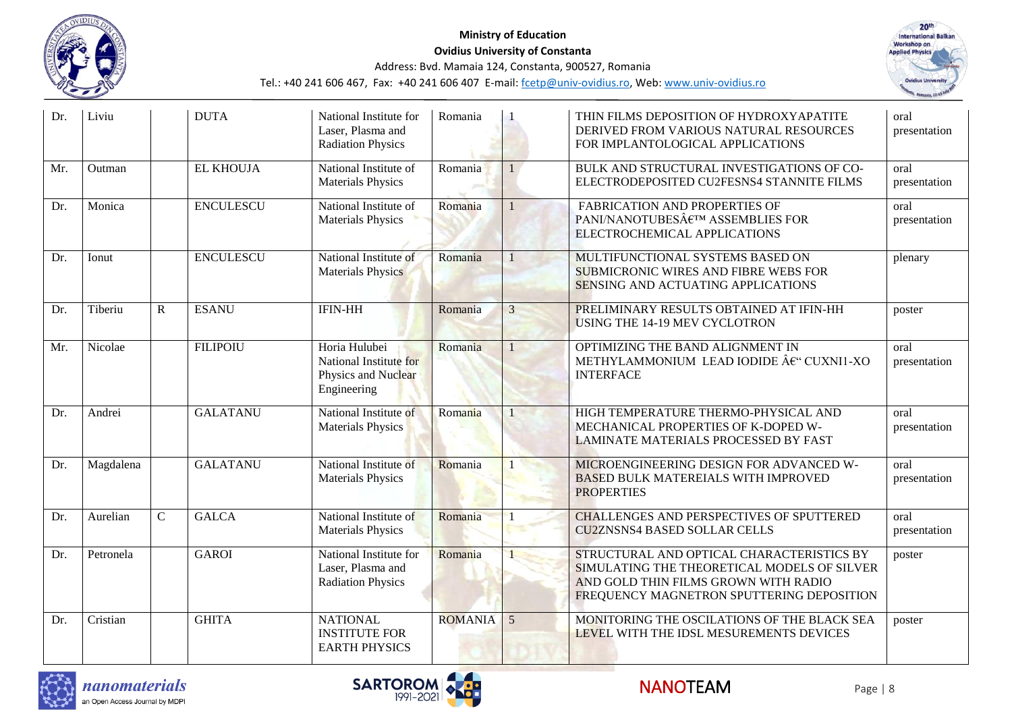



| Dr. | Liviu     |              | <b>DUTA</b>      | National Institute for<br>Laser, Plasma and<br><b>Radiation Physics</b>       | Romania        |                 | THIN FILMS DEPOSITION OF HYDROXY APATITE<br>DERIVED FROM VARIOUS NATURAL RESOURCES<br>FOR IMPLANTOLOGICAL APPLICATIONS                                                        | oral<br>presentation |
|-----|-----------|--------------|------------------|-------------------------------------------------------------------------------|----------------|-----------------|-------------------------------------------------------------------------------------------------------------------------------------------------------------------------------|----------------------|
| Mr. | Outman    |              | <b>EL KHOUJA</b> | National Institute of<br><b>Materials Physics</b>                             | Romania        |                 | BULK AND STRUCTURAL INVESTIGATIONS OF CO-<br>ELECTRODEPOSITED CU2FESNS4 STANNITE FILMS                                                                                        | oral<br>presentation |
| Dr. | Monica    |              | <b>ENCULESCU</b> | National Institute of<br><b>Materials Physics</b>                             | Romania        |                 | FABRICATION AND PROPERTIES OF<br>PANI/NANOTUBES€™ ASSEMBLIES FOR<br>ELECTROCHEMICAL APPLICATIONS                                                                              | oral<br>presentation |
| Dr. | Ionut     |              | <b>ENCULESCU</b> | National Institute of<br><b>Materials Physics</b>                             | Romania        |                 | MULTIFUNCTIONAL SYSTEMS BASED ON<br><b>SUBMICRONIC WIRES AND FIBRE WEBS FOR</b><br>SENSING AND ACTUATING APPLICATIONS                                                         | plenary              |
| Dr. | Tiberiu   | $\mathbb{R}$ | <b>ESANU</b>     | <b>IFIN-HH</b>                                                                | Romania        | $\overline{3}$  | PRELIMINARY RESULTS OBTAINED AT IFIN-HH<br>USING THE 14-19 MEV CYCLOTRON                                                                                                      | poster               |
| Mr. | Nicolae   |              | <b>FILIPOIU</b>  | Horia Hulubei<br>National Institute for<br>Physics and Nuclear<br>Engineering | Romania        |                 | OPTIMIZING THE BAND ALIGNMENT IN<br>METHYLAMMONIUM LEAD IODIDE €" CUXNI1-XO<br><b>INTERFACE</b>                                                                               | oral<br>presentation |
| Dr. | Andrei    |              | <b>GALATANU</b>  | National Institute of<br><b>Materials Physics</b>                             | Romania        |                 | HIGH TEMPERATURE THERMO-PHYSICAL AND<br>MECHANICAL PROPERTIES OF K-DOPED W-<br>LAMINATE MATERIALS PROCESSED BY FAST                                                           | oral<br>presentation |
| Dr. | Magdalena |              | <b>GALATANU</b>  | National Institute of<br><b>Materials Physics</b>                             | Romania        |                 | MICROENGINEERING DESIGN FOR ADVANCED W-<br><b>BASED BULK MATEREIALS WITH IMPROVED</b><br><b>PROPERTIES</b>                                                                    | oral<br>presentation |
| Dr. | Aurelian  | $\mathbf C$  | <b>GALCA</b>     | National Institute of<br><b>Materials Physics</b>                             | Romania        |                 | <b>CHALLENGES AND PERSPECTIVES OF SPUTTERED</b><br><b>CU2ZNSNS4 BASED SOLLAR CELLS</b>                                                                                        | oral<br>presentation |
| Dr. | Petronela |              | <b>GAROI</b>     | National Institute for<br>Laser, Plasma and<br><b>Radiation Physics</b>       | Romania        |                 | STRUCTURAL AND OPTICAL CHARACTERISTICS BY<br>SIMULATING THE THEORETICAL MODELS OF SILVER<br>AND GOLD THIN FILMS GROWN WITH RADIO<br>FREQUENCY MAGNETRON SPUTTERING DEPOSITION | poster               |
| Dr. | Cristian  |              | <b>GHITA</b>     | <b>NATIONAL</b><br><b>INSTITUTE FOR</b><br><b>EARTH PHYSICS</b>               | <b>ROMANIA</b> | $5\overline{)}$ | MONITORING THE OSCILATIONS OF THE BLACK SEA<br>LEVEL WITH THE IDSL MESUREMENTS DEVICES                                                                                        | poster               |



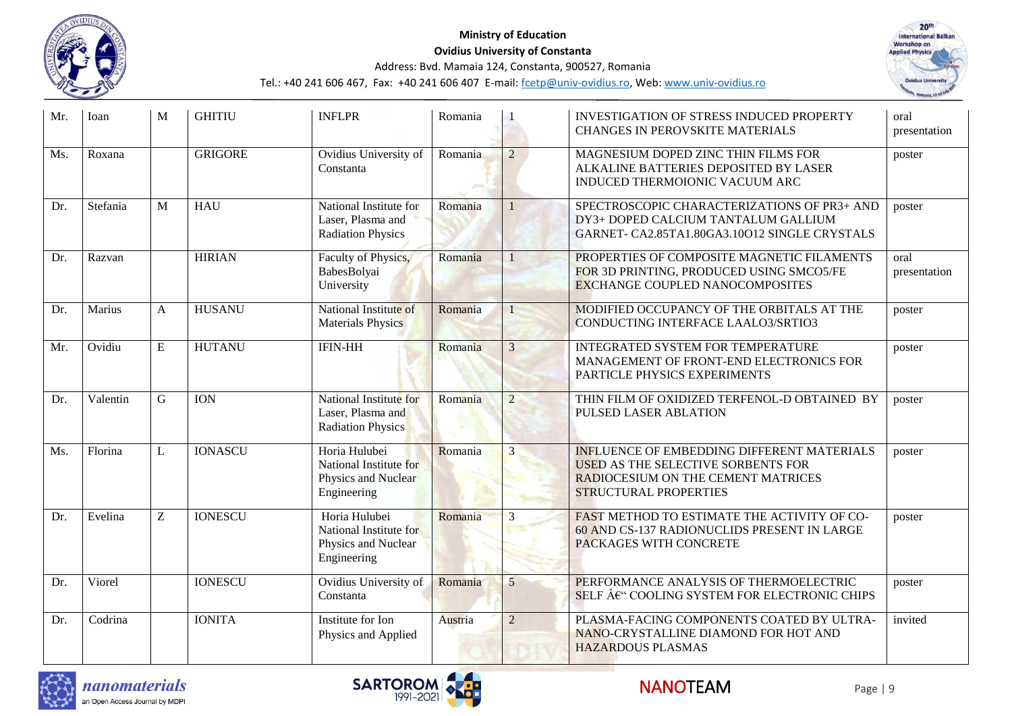



| Mr. | Ioan     | M | <b>GHITIU</b>  | <b>INFLPR</b>                                                                 | Romania |                | <b>INVESTIGATION OF STRESS INDUCED PROPERTY</b><br>CHANGES IN PEROVSKITE MATERIALS                                                                            | oral<br>presentation |
|-----|----------|---|----------------|-------------------------------------------------------------------------------|---------|----------------|---------------------------------------------------------------------------------------------------------------------------------------------------------------|----------------------|
| Ms. | Roxana   |   | <b>GRIGORE</b> | Ovidius University of<br>Constanta                                            | Romania | $\overline{2}$ | MAGNESIUM DOPED ZINC THIN FILMS FOR<br>ALKALINE BATTERIES DEPOSITED BY LASER<br>INDUCED THERMOIONIC VACUUM ARC                                                | poster               |
| Dr. | Stefania | M | <b>HAU</b>     | National Institute for<br>Laser, Plasma and<br><b>Radiation Physics</b>       | Romania |                | SPECTROSCOPIC CHARACTERIZATIONS OF PR3+ AND<br>DY3+ DOPED CALCIUM TANTALUM GALLIUM<br>GARNET- CA2.85TA1.80GA3.10O12 SINGLE CRYSTALS                           | poster               |
| Dr. | Razvan   |   | <b>HIRIAN</b>  | Faculty of Physics,<br>BabesBolyai<br>University                              | Romania |                | PROPERTIES OF COMPOSITE MAGNETIC FILAMENTS<br>FOR 3D PRINTING, PRODUCED USING SMCO5/FE<br><b>EXCHANGE COUPLED NANOCOMPOSITES</b>                              | oral<br>presentation |
| Dr. | Marius   | A | <b>HUSANU</b>  | National Institute of<br><b>Materials Physics</b>                             | Romania |                | MODIFIED OCCUPANCY OF THE ORBITALS AT THE<br>CONDUCTING INTERFACE LAALO3/SRTIO3                                                                               | poster               |
| Mr. | Ovidiu   | E | <b>HUTANU</b>  | <b>IFIN-HH</b>                                                                | Romania | $\overline{3}$ | INTEGRATED SYSTEM FOR TEMPERATURE<br>MANAGEMENT OF FRONT-END ELECTRONICS FOR<br>PARTICLE PHYSICS EXPERIMENTS                                                  | poster               |
| Dr. | Valentin | G | <b>ION</b>     | National Institute for<br>Laser, Plasma and<br><b>Radiation Physics</b>       | Romania | $\overline{2}$ | THIN FILM OF OXIDIZED TERFENOL-D OBTAINED BY<br>PULSED LASER ABLATION                                                                                         | poster               |
| Ms. | Florina  | L | <b>IONASCU</b> | Horia Hulubei<br>National Institute for<br>Physics and Nuclear<br>Engineering | Romania | 3              | <b>INFLUENCE OF EMBEDDING DIFFERENT MATERIALS</b><br><b>USED AS THE SELECTIVE SORBENTS FOR</b><br>RADIOCESIUM ON THE CEMENT MATRICES<br>STRUCTURAL PROPERTIES | poster               |
| Dr. | Evelina  | Z | <b>IONESCU</b> | Horia Hulubei<br>National Institute for<br>Physics and Nuclear<br>Engineering | Romania | 3              | FAST METHOD TO ESTIMATE THE ACTIVITY OF CO-<br>60 AND CS-137 RADIONUCLIDS PRESENT IN LARGE<br>PACKAGES WITH CONCRETE                                          | poster               |
| Dr. | Viorel   |   | <b>IONESCU</b> | Ovidius University of<br>Constanta                                            | Romania | 5              | PERFORMANCE ANALYSIS OF THERMOELECTRIC<br>SELF €" COOLING SYSTEM FOR ELECTRONIC CHIPS                                                                         | poster               |
| Dr. | Codrina  |   | <b>IONITA</b>  | Institute for Ion<br>Physics and Applied                                      | Austria | $\overline{2}$ | PLASMA-FACING COMPONENTS COATED BY ULTRA-<br>NANO-CRYSTALLINE DIAMOND FOR HOT AND<br><b>HAZARDOUS PLASMAS</b>                                                 | invited              |



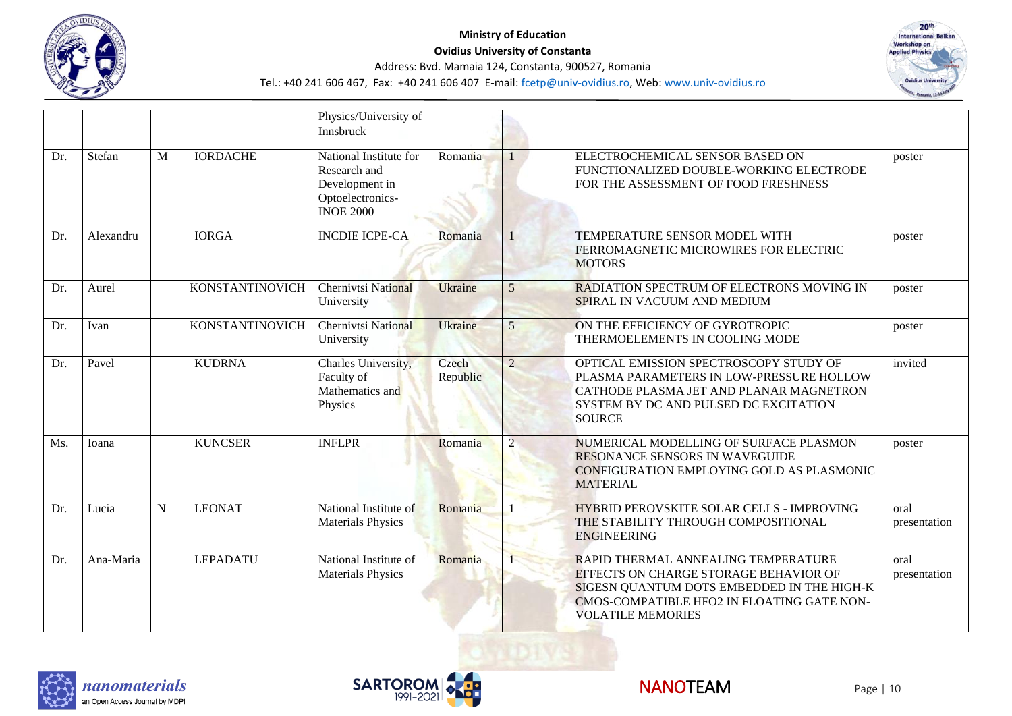



|     |           |             |                        | Physics/University of<br>Innsbruck                                                               |                   |                          |                                                                                                                                                                                                      |                      |
|-----|-----------|-------------|------------------------|--------------------------------------------------------------------------------------------------|-------------------|--------------------------|------------------------------------------------------------------------------------------------------------------------------------------------------------------------------------------------------|----------------------|
| Dr. | Stefan    | M           | <b>IORDACHE</b>        | National Institute for<br>Research and<br>Development in<br>Optoelectronics-<br><b>INOE 2000</b> | Romania           |                          | ELECTROCHEMICAL SENSOR BASED ON<br>FUNCTIONALIZED DOUBLE-WORKING ELECTRODE<br>FOR THE ASSESSMENT OF FOOD FRESHNESS                                                                                   | poster               |
| Dr. | Alexandru |             | <b>IORGA</b>           | <b>INCDIE ICPE-CA</b>                                                                            | Romania           |                          | TEMPERATURE SENSOR MODEL WITH<br>FERROMAGNETIC MICROWIRES FOR ELECTRIC<br><b>MOTORS</b>                                                                                                              | poster               |
| Dr. | Aurel     |             | <b>KONSTANTINOVICH</b> | <b>Chernivtsi National</b><br>University                                                         | Ukraine           | 5                        | RADIATION SPECTRUM OF ELECTRONS MOVING IN<br>SPIRAL IN VACUUM AND MEDIUM                                                                                                                             | poster               |
| Dr. | Ivan      |             | <b>KONSTANTINOVICH</b> | <b>Chernivtsi National</b><br>University                                                         | Ukraine           | $\overline{5}$           | ON THE EFFICIENCY OF GYROTROPIC<br>THERMOELEMENTS IN COOLING MODE                                                                                                                                    | poster               |
| Dr. | Pavel     |             | <b>KUDRNA</b>          | Charles University,<br>Faculty of<br>Mathematics and<br>Physics                                  | Czech<br>Republic | $\overline{2}$           | OPTICAL EMISSION SPECTROSCOPY STUDY OF<br>PLASMA PARAMETERS IN LOW-PRESSURE HOLLOW<br>CATHODE PLASMA JET AND PLANAR MAGNETRON<br>SYSTEM BY DC AND PULSED DC EXCITATION<br><b>SOURCE</b>              | invited              |
| Ms. | Ioana     |             | <b>KUNCSER</b>         | <b>INFLPR</b>                                                                                    | Romania           | $\overline{\mathcal{L}}$ | NUMERICAL MODELLING OF SURFACE PLASMON<br>RESONANCE SENSORS IN WAVEGUIDE<br>CONFIGURATION EMPLOYING GOLD AS PLASMONIC<br><b>MATERIAL</b>                                                             | poster               |
| Dr. | Lucia     | $\mathbf N$ | <b>LEONAT</b>          | National Institute of<br><b>Materials Physics</b>                                                | Romania           |                          | HYBRID PEROVSKITE SOLAR CELLS - IMPROVING<br>THE STABILITY THROUGH COMPOSITIONAL<br><b>ENGINEERING</b>                                                                                               | oral<br>presentation |
| Dr. | Ana-Maria |             | <b>LEPADATU</b>        | National Institute of<br><b>Materials Physics</b>                                                | Romania           |                          | RAPID THERMAL ANNEALING TEMPERATURE<br>EFFECTS ON CHARGE STORAGE BEHAVIOR OF<br>SIGESN QUANTUM DOTS EMBEDDED IN THE HIGH-K<br>CMOS-COMPATIBLE HFO2 IN FLOATING GATE NON-<br><b>VOLATILE MEMORIES</b> | oral<br>presentation |





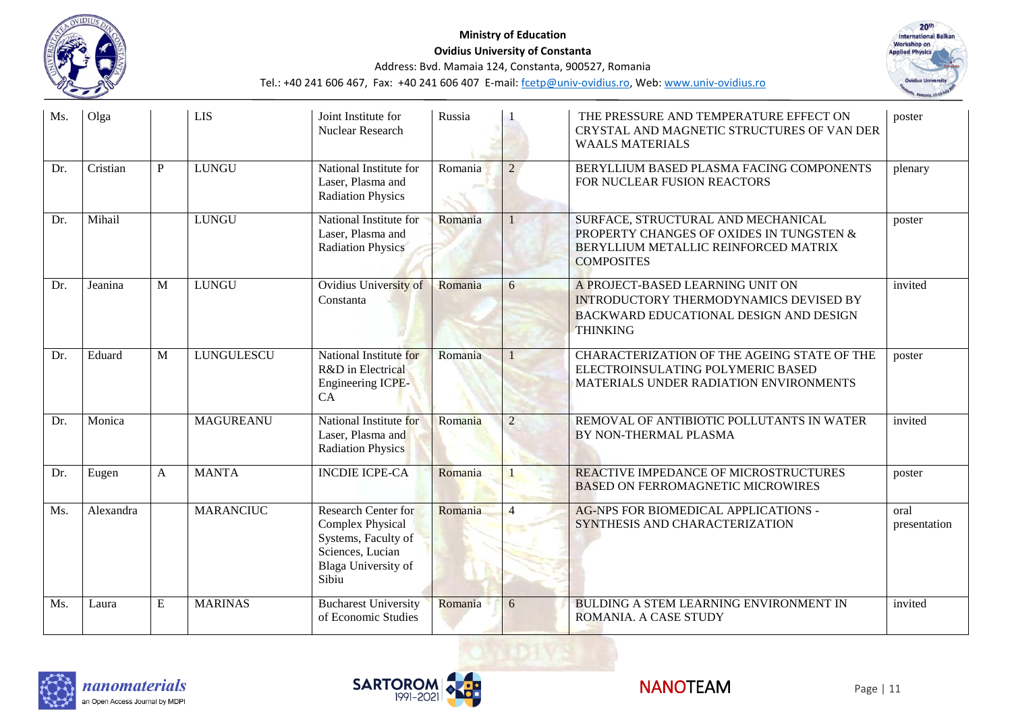



| Ms. | Olga      |           | <b>LIS</b>        | Joint Institute for<br>Nuclear Research                                                                                   | Russia  |                | THE PRESSURE AND TEMPERATURE EFFECT ON<br>CRYSTAL AND MAGNETIC STRUCTURES OF VAN DER<br><b>WAALS MATERIALS</b>                              | poster               |
|-----|-----------|-----------|-------------------|---------------------------------------------------------------------------------------------------------------------------|---------|----------------|---------------------------------------------------------------------------------------------------------------------------------------------|----------------------|
| Dr. | Cristian  | P         | <b>LUNGU</b>      | National Institute for<br>Laser, Plasma and<br><b>Radiation Physics</b>                                                   | Romania | $\overline{2}$ | BERYLLIUM BASED PLASMA FACING COMPONENTS<br>FOR NUCLEAR FUSION REACTORS                                                                     | plenary              |
| Dr. | Mihail    |           | <b>LUNGU</b>      | National Institute for<br>Laser, Plasma and<br><b>Radiation Physics</b>                                                   | Romania |                | SURFACE, STRUCTURAL AND MECHANICAL<br>PROPERTY CHANGES OF OXIDES IN TUNGSTEN &<br>BERYLLIUM METALLIC REINFORCED MATRIX<br><b>COMPOSITES</b> | poster               |
| Dr. | Jeanina   | M         | <b>LUNGU</b>      | Ovidius University of<br>Constanta                                                                                        | Romania | 6              | A PROJECT-BASED LEARNING UNIT ON<br>INTRODUCTORY THERMODYNAMICS DEVISED BY<br>BACKWARD EDUCATIONAL DESIGN AND DESIGN<br><b>THINKING</b>     | invited              |
| Dr. | Eduard    | M         | <b>LUNGULESCU</b> | National Institute for<br>R&D in Electrical<br>Engineering ICPE-<br>CA                                                    | Romania |                | CHARACTERIZATION OF THE AGEING STATE OF THE<br>ELECTROINSULATING POLYMERIC BASED<br>MATERIALS UNDER RADIATION ENVIRONMENTS                  | poster               |
| Dr. | Monica    |           | <b>MAGUREANU</b>  | National Institute for<br>Laser, Plasma and<br><b>Radiation Physics</b>                                                   | Romania | $\overline{2}$ | REMOVAL OF ANTIBIOTIC POLLUTANTS IN WATER<br>BY NON-THERMAL PLASMA                                                                          | invited              |
| Dr. | Eugen     | A         | <b>MANTA</b>      | <b>INCDIE ICPE-CA</b>                                                                                                     | Romania |                | REACTIVE IMPEDANCE OF MICROSTRUCTURES<br><b>BASED ON FERROMAGNETIC MICROWIRES</b>                                                           | poster               |
| Ms. | Alexandra |           | <b>MARANCIUC</b>  | Research Center for<br><b>Complex Physical</b><br>Systems, Faculty of<br>Sciences, Lucian<br>Blaga University of<br>Sibiu | Romania | $\overline{4}$ | <b>AG-NPS FOR BIOMEDICAL APPLICATIONS -</b><br>SYNTHESIS AND CHARACTERIZATION                                                               | oral<br>presentation |
| Ms. | Laura     | ${\bf E}$ | <b>MARINAS</b>    | <b>Bucharest University</b><br>of Economic Studies                                                                        | Romania | 6              | <b>BULDING A STEM LEARNING ENVIRONMENT IN</b><br>ROMANIA. A CASE STUDY                                                                      | invited              |





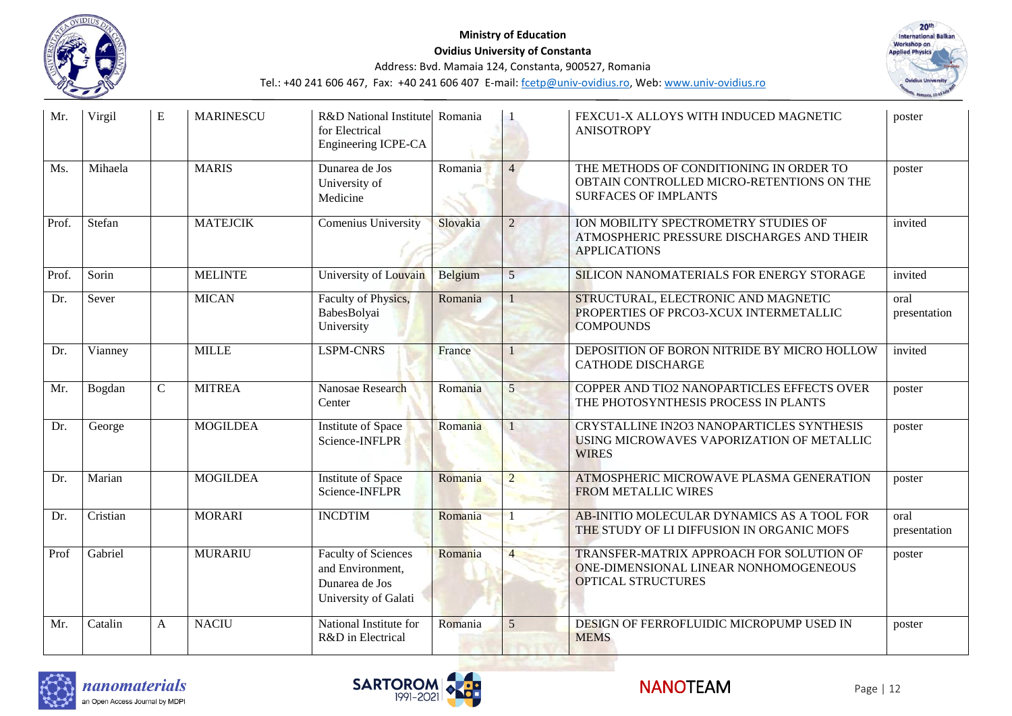



| Mr.   | Virgil   | E            | <b>MARINESCU</b> | R&D National Institute Romania<br>for Electrical<br>Engineering ICPE-CA                  |          |                 | FEXCU1-X ALLOYS WITH INDUCED MAGNETIC<br><b>ANISOTROPY</b>                                                          | poster               |
|-------|----------|--------------|------------------|------------------------------------------------------------------------------------------|----------|-----------------|---------------------------------------------------------------------------------------------------------------------|----------------------|
| Ms.   | Mihaela  |              | <b>MARIS</b>     | Dunarea de Jos<br>University of<br>Medicine                                              | Romania  | $\overline{4}$  | THE METHODS OF CONDITIONING IN ORDER TO<br>OBTAIN CONTROLLED MICRO-RETENTIONS ON THE<br><b>SURFACES OF IMPLANTS</b> | poster               |
| Prof. | Stefan   |              | <b>MATEJCIK</b>  | Comenius University                                                                      | Slovakia | $\overline{2}$  | ION MOBILITY SPECTROMETRY STUDIES OF<br>ATMOSPHERIC PRESSURE DISCHARGES AND THEIR<br><b>APPLICATIONS</b>            | invited              |
| Prof. | Sorin    |              | <b>MELINTE</b>   | University of Louvain                                                                    | Belgium  | 5               | SILICON NANOMATERIALS FOR ENERGY STORAGE                                                                            | invited              |
| Dr.   | Sever    |              | <b>MICAN</b>     | Faculty of Physics,<br>BabesBolyai<br>University                                         | Romania  |                 | STRUCTURAL, ELECTRONIC AND MAGNETIC<br>PROPERTIES OF PRCO3-XCUX INTERMETALLIC<br><b>COMPOUNDS</b>                   | oral<br>presentation |
| Dr.   | Vianney  |              | <b>MILLE</b>     | <b>LSPM-CNRS</b>                                                                         | France   |                 | DEPOSITION OF BORON NITRIDE BY MICRO HOLLOW<br><b>CATHODE DISCHARGE</b>                                             | invited              |
| Mr.   | Bogdan   | $\mathsf{C}$ | <b>MITREA</b>    | Nanosae Research<br>Center                                                               | Romania  | 5               | COPPER AND TIO2 NANOPARTICLES EFFECTS OVER<br>THE PHOTOSYNTHESIS PROCESS IN PLANTS                                  | poster               |
| Dr.   | George   |              | <b>MOGILDEA</b>  | <b>Institute of Space</b><br>Science-INFLPR                                              | Romania  |                 | CRYSTALLINE IN2O3 NANOPARTICLES SYNTHESIS<br>USING MICROWAVES VAPORIZATION OF METALLIC<br><b>WIRES</b>              | poster               |
| Dr.   | Marian   |              | <b>MOGILDEA</b>  | <b>Institute of Space</b><br>Science-INFLPR                                              | Romania  | $\overline{2}$  | ATMOSPHERIC MICROWAVE PLASMA GENERATION<br><b>FROM METALLIC WIRES</b>                                               | poster               |
| Dr.   | Cristian |              | <b>MORARI</b>    | <b>INCDTIM</b>                                                                           | Romania  |                 | AB-INITIO MOLECULAR DYNAMICS AS A TOOL FOR<br>THE STUDY OF LI DIFFUSION IN ORGANIC MOFS                             | oral<br>presentation |
| Prof  | Gabriel  |              | <b>MURARIU</b>   | <b>Faculty of Sciences</b><br>and Environment,<br>Dunarea de Jos<br>University of Galati | Romania  | $\overline{4}$  | TRANSFER-MATRIX APPROACH FOR SOLUTION OF<br>ONE-DIMENSIONAL LINEAR NONHOMOGENEOUS<br><b>OPTICAL STRUCTURES</b>      | poster               |
| Mr.   | Catalin  | A            | <b>NACIU</b>     | National Institute for<br>R&D in Electrical                                              | Romania  | $5\overline{)}$ | DESIGN OF FERROFLUIDIC MICROPUMP USED IN<br><b>MEMS</b>                                                             | poster               |





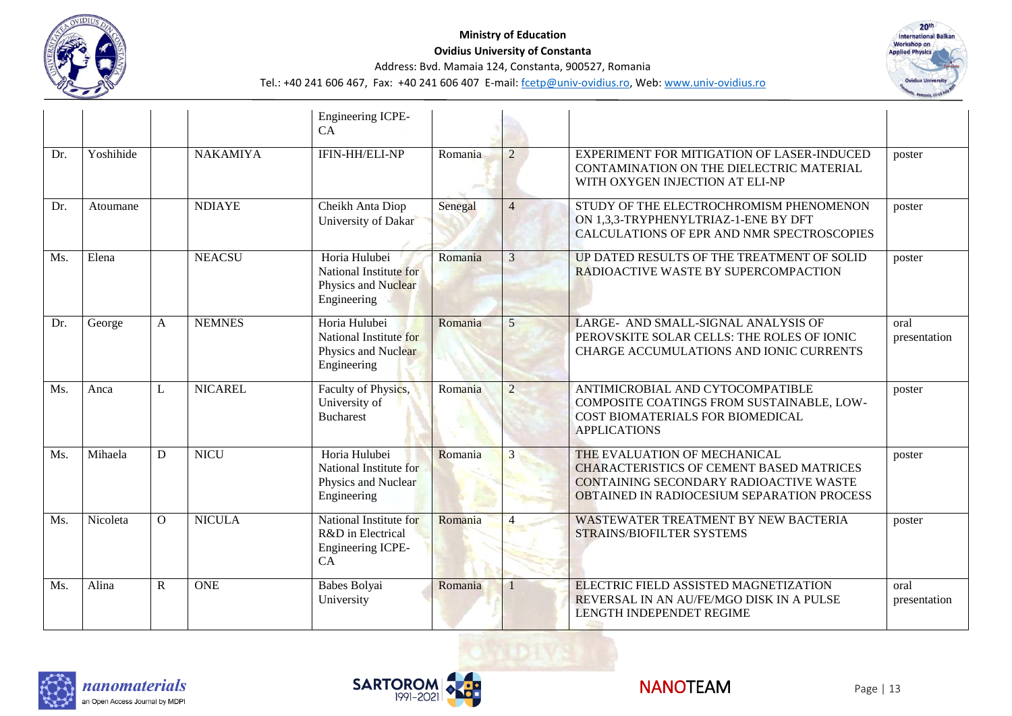



|     |           |          |                 | Engineering ICPE-<br>CA                                                       |         |                |                                                                                                                                                                         |                      |
|-----|-----------|----------|-----------------|-------------------------------------------------------------------------------|---------|----------------|-------------------------------------------------------------------------------------------------------------------------------------------------------------------------|----------------------|
| Dr. | Yoshihide |          | <b>NAKAMIYA</b> | IFIN-HH/ELI-NP                                                                | Romania | $\overline{2}$ | EXPERIMENT FOR MITIGATION OF LASER-INDUCED<br>CONTAMINATION ON THE DIELECTRIC MATERIAL<br>WITH OXYGEN INJECTION AT ELI-NP                                               | poster               |
| Dr. | Atoumane  |          | <b>NDIAYE</b>   | Cheikh Anta Diop<br>University of Dakar                                       | Senegal | $\overline{4}$ | STUDY OF THE ELECTROCHROMISM PHENOMENON<br>ON 1,3,3-TRYPHENYLTRIAZ-1-ENE BY DFT<br>CALCULATIONS OF EPR AND NMR SPECTROSCOPIES                                           | poster               |
| Ms. | Elena     |          | <b>NEACSU</b>   | Horia Hulubei<br>National Institute for<br>Physics and Nuclear<br>Engineering | Romania | 3              | UP DATED RESULTS OF THE TREATMENT OF SOLID<br>RADIOACTIVE WASTE BY SUPERCOMPACTION                                                                                      | poster               |
| Dr. | George    | A        | <b>NEMNES</b>   | Horia Hulubei<br>National Institute for<br>Physics and Nuclear<br>Engineering | Romania | 5              | LARGE- AND SMALL-SIGNAL ANALYSIS OF<br>PEROVSKITE SOLAR CELLS: THE ROLES OF IONIC<br>CHARGE ACCUMULATIONS AND IONIC CURRENTS                                            | oral<br>presentation |
| Ms. | Anca      | L        | <b>NICAREL</b>  | Faculty of Physics,<br>University of<br><b>Bucharest</b>                      | Romania | $\mathfrak{D}$ | ANTIMICROBIAL AND CYTOCOMPATIBLE<br>COMPOSITE COATINGS FROM SUSTAINABLE, LOW-<br>COST BIOMATERIALS FOR BIOMEDICAL<br><b>APPLICATIONS</b>                                | poster               |
| Ms. | Mihaela   | D        | <b>NICU</b>     | Horia Hulubei<br>National Institute for<br>Physics and Nuclear<br>Engineering | Romania |                | THE EVALUATION OF MECHANICAL<br><b>CHARACTERISTICS OF CEMENT BASED MATRICES</b><br>CONTAINING SECONDARY RADIOACTIVE WASTE<br>OBTAINED IN RADIOCESIUM SEPARATION PROCESS | poster               |
| Ms. | Nicoleta  | $\Omega$ | <b>NICULA</b>   | National Institute for<br>R&D in Electrical<br>Engineering ICPE-<br>CA        | Romania | 4              | <b>WASTEWATER TREATMENT BY NEW BACTERIA</b><br>STRAINS/BIOFILTER SYSTEMS                                                                                                | poster               |
| Ms. | Alina     | R        | <b>ONE</b>      | Babes Bolyai<br>University                                                    | Romania |                | ELECTRIC FIELD ASSISTED MAGNETIZATION<br>REVERSAL IN AN AU/FE/MGO DISK IN A PULSE<br><b>LENGTH INDEPENDET REGIME</b>                                                    | oral<br>presentation |





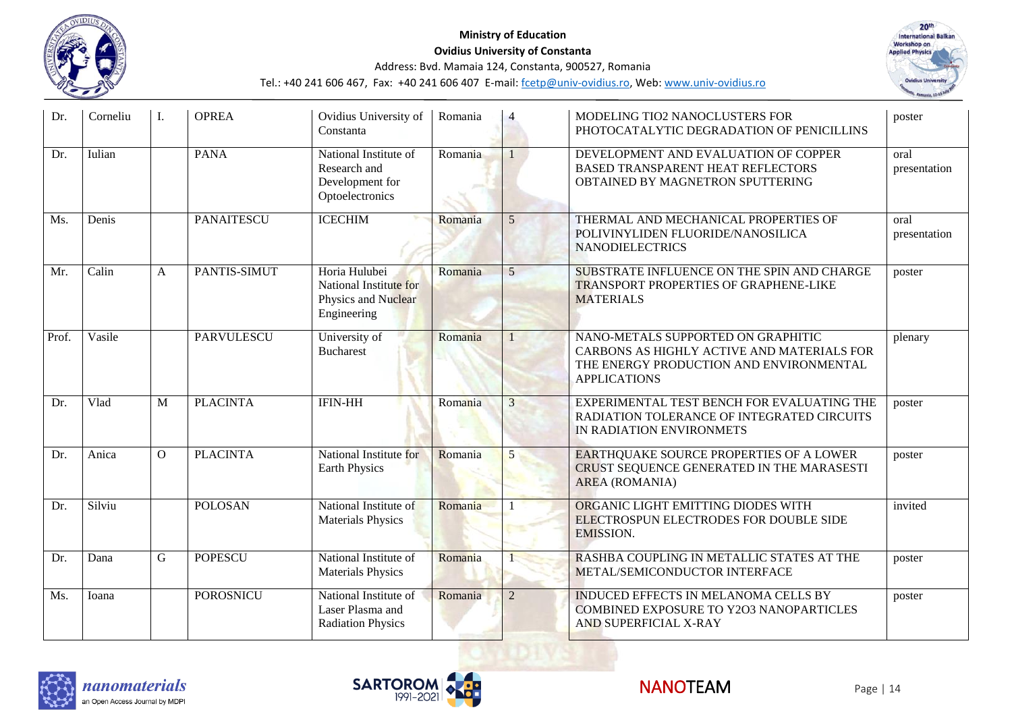



| Dr.   | Corneliu | I.       | <b>OPREA</b>      | Ovidius University of<br>Constanta                                            | Romania |                | MODELING TIO2 NANOCLUSTERS FOR<br>PHOTOCATALYTIC DEGRADATION OF PENICILLINS                                                                        | poster               |
|-------|----------|----------|-------------------|-------------------------------------------------------------------------------|---------|----------------|----------------------------------------------------------------------------------------------------------------------------------------------------|----------------------|
| Dr.   | Iulian   |          | <b>PANA</b>       | National Institute of<br>Research and<br>Development for<br>Optoelectronics   | Romania |                | DEVELOPMENT AND EVALUATION OF COPPER<br>BASED TRANSPARENT HEAT REFLECTORS<br>OBTAINED BY MAGNETRON SPUTTERING                                      | oral<br>presentation |
| Ms.   | Denis    |          | <b>PANAITESCU</b> | <b>ICECHIM</b>                                                                | Romania | 5              | THERMAL AND MECHANICAL PROPERTIES OF<br>POLIVINYLIDEN FLUORIDE/NANOSILICA<br><b>NANODIELECTRICS</b>                                                | oral<br>presentation |
| Mr.   | Calin    | A        | PANTIS-SIMUT      | Horia Hulubei<br>National Institute for<br>Physics and Nuclear<br>Engineering | Romania | 5              | SUBSTRATE INFLUENCE ON THE SPIN AND CHARGE<br><b>TRANSPORT PROPERTIES OF GRAPHENE-LIKE</b><br><b>MATERIALS</b>                                     | poster               |
| Prof. | Vasile   |          | <b>PARVULESCU</b> | University of<br><b>Bucharest</b>                                             | Romania |                | NANO-METALS SUPPORTED ON GRAPHITIC<br>CARBONS AS HIGHLY ACTIVE AND MATERIALS FOR<br>THE ENERGY PRODUCTION AND ENVIRONMENTAL<br><b>APPLICATIONS</b> | plenary              |
| Dr.   | Vlad     | M        | <b>PLACINTA</b>   | <b>IFIN-HH</b>                                                                | Romania | 3              | EXPERIMENTAL TEST BENCH FOR EVALUATING THE<br>RADIATION TOLERANCE OF INTEGRATED CIRCUITS<br>IN RADIATION ENVIRONMETS                               | poster               |
| Dr.   | Anica    | $\Omega$ | <b>PLACINTA</b>   | National Institute for<br><b>Earth Physics</b>                                | Romania | 5              | EARTHQUAKE SOURCE PROPERTIES OF A LOWER<br>CRUST SEQUENCE GENERATED IN THE MARASESTI<br><b>AREA</b> (ROMANIA)                                      | poster               |
| Dr.   | Silviu   |          | <b>POLOSAN</b>    | National Institute of<br><b>Materials Physics</b>                             | Romania |                | ORGANIC LIGHT EMITTING DIODES WITH<br>ELECTROSPUN ELECTRODES FOR DOUBLE SIDE<br><b>EMISSION.</b>                                                   | invited              |
| Dr.   | Dana     | G        | <b>POPESCU</b>    | National Institute of<br><b>Materials Physics</b>                             | Romania |                | RASHBA COUPLING IN METALLIC STATES AT THE<br>METAL/SEMICONDUCTOR INTERFACE                                                                         | poster               |
| Ms.   | Ioana    |          | <b>POROSNICU</b>  | National Institute of<br>Laser Plasma and<br><b>Radiation Physics</b>         | Romania | $\overline{2}$ | INDUCED EFFECTS IN MELANOMA CELLS BY<br>COMBINED EXPOSURE TO Y2O3 NANOPARTICLES<br>AND SUPERFICIAL X-RAY                                           | poster               |





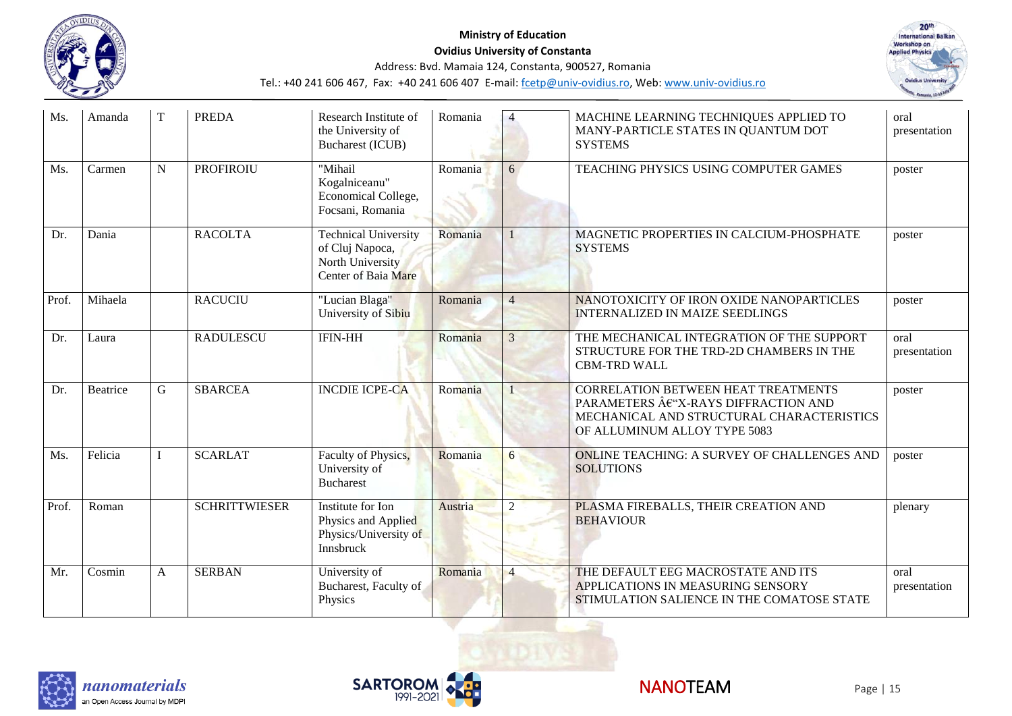



| Ms.   | Amanda   | T | <b>PREDA</b>         | Research Institute of<br>the University of<br><b>Bucharest (ICUB)</b>                            | Romania |                | MACHINE LEARNING TECHNIQUES APPLIED TO<br>MANY-PARTICLE STATES IN QUANTUM DOT<br><b>SYSTEMS</b>                                                          | oral<br>presentation |
|-------|----------|---|----------------------|--------------------------------------------------------------------------------------------------|---------|----------------|----------------------------------------------------------------------------------------------------------------------------------------------------------|----------------------|
| Ms.   | Carmen   | N | <b>PROFIROIU</b>     | "Mihail<br>Kogalniceanu"<br>Economical College,<br>Focsani, Romania                              | Romania | 6              | TEACHING PHYSICS USING COMPUTER GAMES                                                                                                                    | poster               |
| Dr.   | Dania    |   | <b>RACOLTA</b>       | <b>Technical University</b><br>of Cluj Napoca,<br>North University<br><b>Center of Baia Mare</b> | Romania |                | MAGNETIC PROPERTIES IN CALCIUM-PHOSPHATE<br><b>SYSTEMS</b>                                                                                               | poster               |
| Prof. | Mihaela  |   | <b>RACUCIU</b>       | "Lucian Blaga"<br>University of Sibiu                                                            | Romania | $\overline{4}$ | NANOTOXICITY OF IRON OXIDE NANOPARTICLES<br><b>INTERNALIZED IN MAIZE SEEDLINGS</b>                                                                       | poster               |
| Dr.   | Laura    |   | <b>RADULESCU</b>     | <b>IFIN-HH</b>                                                                                   | Romania | 3              | THE MECHANICAL INTEGRATION OF THE SUPPORT<br>STRUCTURE FOR THE TRD-2D CHAMBERS IN THE<br><b>CBM-TRD WALL</b>                                             | oral<br>presentation |
| Dr.   | Beatrice | G | <b>SBARCEA</b>       | <b>INCDIE ICPE-CA</b>                                                                            | Romania |                | CORRELATION BETWEEN HEAT TREATMENTS<br>PARAMETERS € "X-RAYS DIFFRACTION AND<br>MECHANICAL AND STRUCTURAL CHARACTERISTICS<br>OF ALLUMINUM ALLOY TYPE 5083 | poster               |
| Ms.   | Felicia  |   | <b>SCARLAT</b>       | Faculty of Physics,<br>University of<br><b>Bucharest</b>                                         | Romania | 6              | <b>ONLINE TEACHING: A SURVEY OF CHALLENGES AND</b><br><b>SOLUTIONS</b>                                                                                   | poster               |
| Prof. | Roman    |   | <b>SCHRITTWIESER</b> | Institute for Ion<br>Physics and Applied<br>Physics/University of<br>Innsbruck                   | Austria |                | PLASMA FIREBALLS, THEIR CREATION AND<br><b>BEHAVIOUR</b>                                                                                                 | plenary              |
| Mr.   | Cosmin   | A | <b>SERBAN</b>        | University of<br>Bucharest, Faculty of<br>Physics                                                | Romania | $\overline{4}$ | THE DEFAULT EEG MACROSTATE AND ITS<br>APPLICATIONS IN MEASURING SENSORY<br>STIMULATION SALIENCE IN THE COMATOSE STATE                                    | oral<br>presentation |



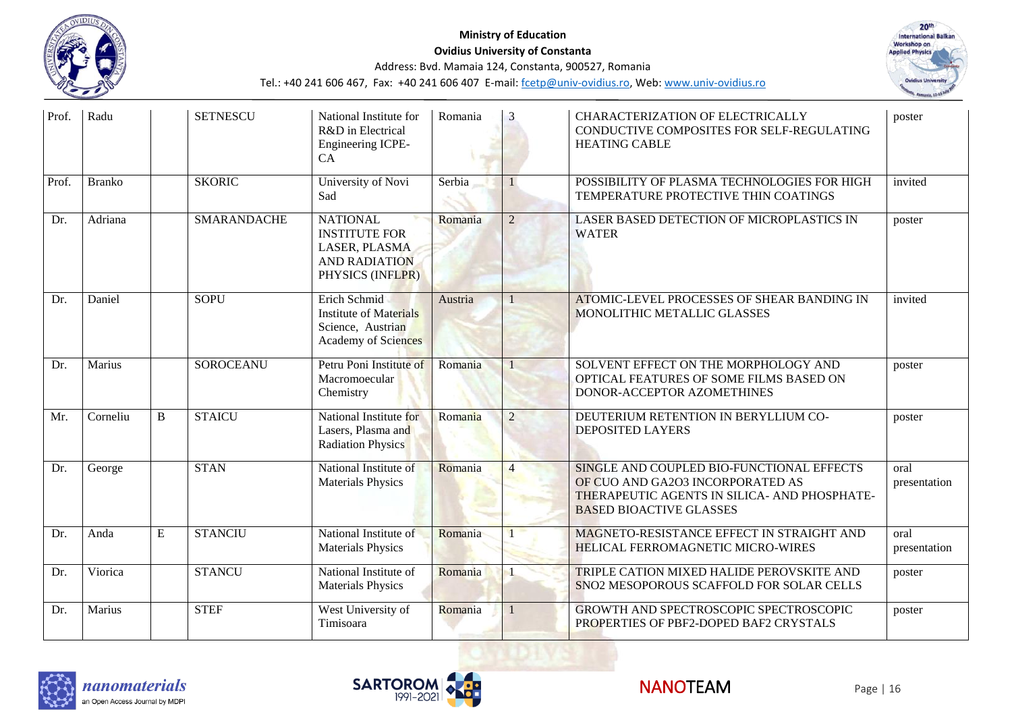

# **Ministry of Education Ovidius University of Constanta**



Address: Bvd. Mamaia 124, Constanta, 900527, Romania

| Prof. | Radu          |   | <b>SETNESCU</b>    | National Institute for<br>R&D in Electrical<br>Engineering ICPE-<br>CA                               | Romania |                | CHARACTERIZATION OF ELECTRICALLY<br>CONDUCTIVE COMPOSITES FOR SELF-REGULATING<br><b>HEATING CABLE</b>                                                           | poster               |
|-------|---------------|---|--------------------|------------------------------------------------------------------------------------------------------|---------|----------------|-----------------------------------------------------------------------------------------------------------------------------------------------------------------|----------------------|
| Prof. | <b>Branko</b> |   | <b>SKORIC</b>      | University of Novi<br>Sad                                                                            | Serbia  |                | POSSIBILITY OF PLASMA TECHNOLOGIES FOR HIGH<br>TEMPERATURE PROTECTIVE THIN COATINGS                                                                             | invited              |
| Dr.   | Adriana       |   | <b>SMARANDACHE</b> | <b>NATIONAL</b><br><b>INSTITUTE FOR</b><br>LASER, PLASMA<br><b>AND RADIATION</b><br>PHYSICS (INFLPR) | Romania | $\overline{2}$ | LASER BASED DETECTION OF MICROPLASTICS IN<br><b>WATER</b>                                                                                                       | poster               |
| Dr.   | Daniel        |   | <b>SOPU</b>        | Erich Schmid<br><b>Institute of Materials</b><br>Science, Austrian<br><b>Academy of Sciences</b>     | Austria |                | ATOMIC-LEVEL PROCESSES OF SHEAR BANDING IN<br>MONOLITHIC METALLIC GLASSES                                                                                       | invited              |
| Dr.   | Marius        |   | <b>SOROCEANU</b>   | Petru Poni Institute of<br>Macromoecular<br>Chemistry                                                | Romania |                | SOLVENT EFFECT ON THE MORPHOLOGY AND<br>OPTICAL FEATURES OF SOME FILMS BASED ON<br>DONOR-ACCEPTOR AZOMETHINES                                                   | poster               |
| Mr.   | Corneliu      | B | <b>STAICU</b>      | National Institute for<br>Lasers, Plasma and<br><b>Radiation Physics</b>                             | Romania | $\overline{2}$ | DEUTERIUM RETENTION IN BERYLLIUM CO-<br><b>DEPOSITED LAYERS</b>                                                                                                 | poster               |
| Dr.   | George        |   | <b>STAN</b>        | National Institute of<br><b>Materials Physics</b>                                                    | Romania |                | SINGLE AND COUPLED BIO-FUNCTIONAL EFFECTS<br>OF CUO AND GA2O3 INCORPORATED AS<br>THERAPEUTIC AGENTS IN SILICA- AND PHOSPHATE-<br><b>BASED BIOACTIVE GLASSES</b> | oral<br>presentation |
| Dr.   | Anda          | E | <b>STANCIU</b>     | National Institute of<br><b>Materials Physics</b>                                                    | Romania |                | MAGNETO-RESISTANCE EFFECT IN STRAIGHT AND<br>HELICAL FERROMAGNETIC MICRO-WIRES                                                                                  | oral<br>presentation |
| Dr.   | Viorica       |   | <b>STANCU</b>      | National Institute of<br><b>Materials Physics</b>                                                    | Romania |                | TRIPLE CATION MIXED HALIDE PEROVSKITE AND<br>SNO2 MESOPOROUS SCAFFOLD FOR SOLAR CELLS                                                                           | poster               |
| Dr.   | Marius        |   | <b>STEF</b>        | West University of<br>Timisoara                                                                      | Romania |                | GROWTH AND SPECTROSCOPIC SPECTROSCOPIC<br>PROPERTIES OF PBF2-DOPED BAF2 CRYSTALS                                                                                | poster               |





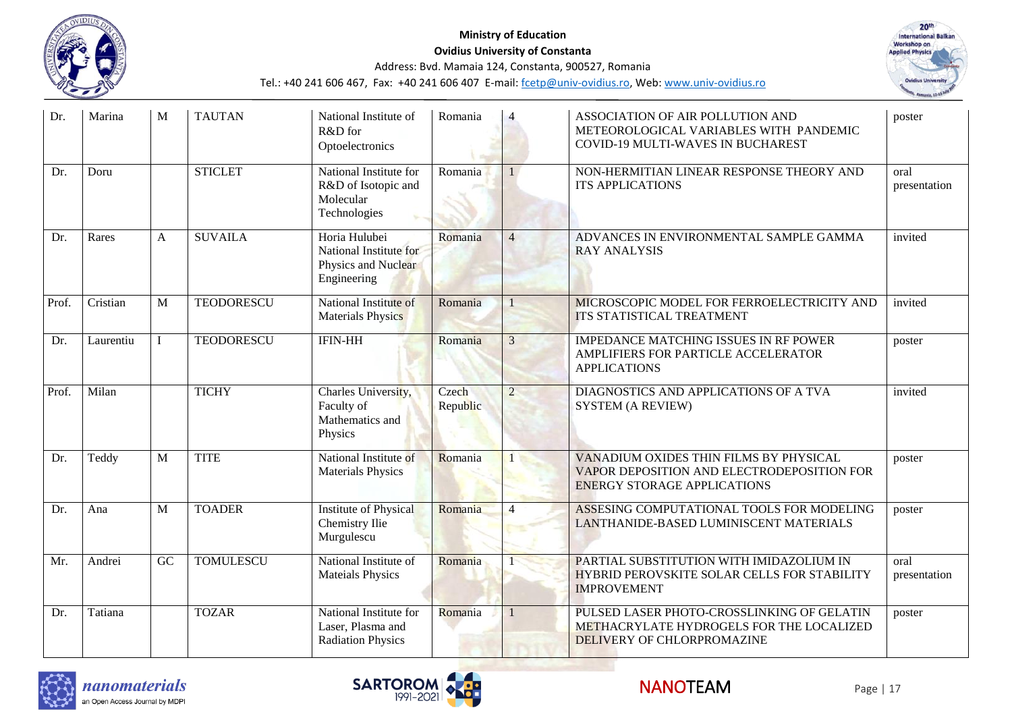



| Dr.   | Marina    | M              | <b>TAUTAN</b>     | National Institute of<br>R&D for<br>Optoelectronics                           | Romania           |                | ASSOCIATION OF AIR POLLUTION AND<br>METEOROLOGICAL VARIABLES WITH PANDEMIC<br>COVID-19 MULTI-WAVES IN BUCHAREST            | poster               |
|-------|-----------|----------------|-------------------|-------------------------------------------------------------------------------|-------------------|----------------|----------------------------------------------------------------------------------------------------------------------------|----------------------|
| Dr.   | Doru      |                | <b>STICLET</b>    | National Institute for<br>R&D of Isotopic and<br>Molecular<br>Technologies    | Romania           |                | NON-HERMITIAN LINEAR RESPONSE THEORY AND<br><b>ITS APPLICATIONS</b>                                                        | oral<br>presentation |
| Dr.   | Rares     | A              | <b>SUVAILA</b>    | Horia Hulubei<br>National Institute for<br>Physics and Nuclear<br>Engineering | Romania           | $\overline{4}$ | ADVANCES IN ENVIRONMENTAL SAMPLE GAMMA<br><b>RAY ANALYSIS</b>                                                              | invited              |
| Prof. | Cristian  | M              | <b>TEODORESCU</b> | National Institute of<br><b>Materials Physics</b>                             | Romania           |                | MICROSCOPIC MODEL FOR FERROELECTRICITY AND<br>ITS STATISTICAL TREATMENT                                                    | invited              |
| Dr.   | Laurentiu |                | <b>TEODORESCU</b> | <b>IFIN-HH</b>                                                                | Romania           | 3              | <b>IMPEDANCE MATCHING ISSUES IN RF POWER</b><br>AMPLIFIERS FOR PARTICLE ACCELERATOR<br><b>APPLICATIONS</b>                 | poster               |
| Prof. | Milan     |                | <b>TICHY</b>      | Charles University,<br>Faculty of<br>Mathematics and<br>Physics               | Czech<br>Republic | $\overline{2}$ | DIAGNOSTICS AND APPLICATIONS OF A TVA<br><b>SYSTEM (A REVIEW)</b>                                                          | invited              |
| Dr.   | Teddy     | $\overline{M}$ | <b>TITE</b>       | National Institute of<br><b>Materials Physics</b>                             | Romania           |                | VANADIUM OXIDES THIN FILMS BY PHYSICAL<br>VAPOR DEPOSITION AND ELECTRODEPOSITION FOR<br><b>ENERGY STORAGE APPLICATIONS</b> | poster               |
| Dr.   | Ana       | M              | <b>TOADER</b>     | Institute of Physical<br>Chemistry Ilie<br>Murgulescu                         | Romania           |                | ASSESING COMPUTATIONAL TOOLS FOR MODELING<br>LANTHANIDE-BASED LUMINISCENT MATERIALS                                        | poster               |
| Mr.   | Andrei    | GC             | <b>TOMULESCU</b>  | National Institute of<br><b>Mateials Physics</b>                              | Romania           |                | PARTIAL SUBSTITUTION WITH IMIDAZOLIUM IN<br>HYBRID PEROVSKITE SOLAR CELLS FOR STABILITY<br><b>IMPROVEMENT</b>              | oral<br>presentation |
| Dr.   | Tatiana   |                | <b>TOZAR</b>      | National Institute for<br>Laser, Plasma and<br><b>Radiation Physics</b>       | Romania           |                | PULSED LASER PHOTO-CROSSLINKING OF GELATIN<br>METHACRYLATE HYDROGELS FOR THE LOCALIZED<br>DELIVERY OF CHLORPROMAZINE       | poster               |





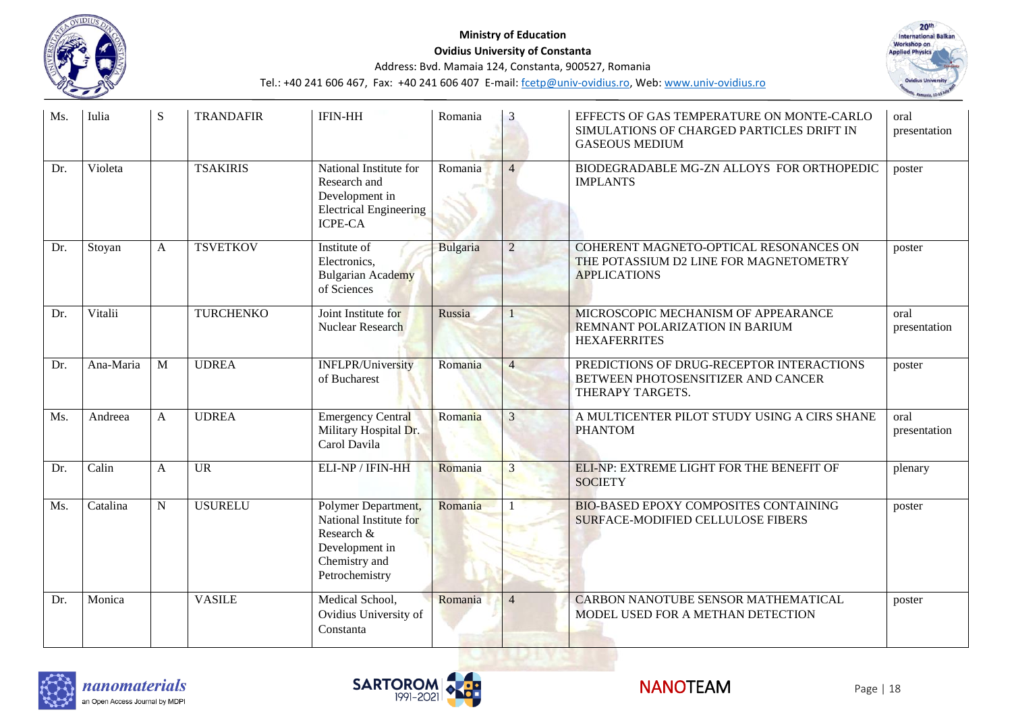

#### **Ministry of Education Ovidius University of Constanta**



Address: Bvd. Mamaia 124, Constanta, 900527, Romania

| Ms. | Iulia     | S              | <b>TRANDAFIR</b> | <b>IFIN-HH</b>                                                                                                   | Romania  | 3              | EFFECTS OF GAS TEMPERATURE ON MONTE-CARLO<br>SIMULATIONS OF CHARGED PARTICLES DRIFT IN<br><b>GASEOUS MEDIUM</b> | oral<br>presentation |
|-----|-----------|----------------|------------------|------------------------------------------------------------------------------------------------------------------|----------|----------------|-----------------------------------------------------------------------------------------------------------------|----------------------|
| Dr. | Violeta   |                | <b>TSAKIRIS</b>  | National Institute for<br>Research and<br>Development in<br><b>Electrical Engineering</b><br><b>ICPE-CA</b>      | Romania  | $\overline{4}$ | BIODEGRADABLE MG-ZN ALLOYS FOR ORTHOPEDIC<br><b>IMPLANTS</b>                                                    | poster               |
| Dr. | Stoyan    | A              | <b>TSVETKOV</b>  | Institute of<br>Electronics,<br><b>Bulgarian Academy</b><br>of Sciences                                          | Bulgaria | $\overline{2}$ | COHERENT MAGNETO-OPTICAL RESONANCES ON<br>THE POTASSIUM D2 LINE FOR MAGNETOMETRY<br><b>APPLICATIONS</b>         | poster               |
| Dr. | Vitalii   |                | <b>TURCHENKO</b> | Joint Institute for<br>Nuclear Research                                                                          | Russia   |                | MICROSCOPIC MECHANISM OF APPEARANCE<br>REMNANT POLARIZATION IN BARIUM<br><b>HEXAFERRITES</b>                    | oral<br>presentation |
| Dr. | Ana-Maria | $\overline{M}$ | <b>UDREA</b>     | <b>INFLPR/University</b><br>of Bucharest                                                                         | Romania  | $\overline{4}$ | PREDICTIONS OF DRUG-RECEPTOR INTERACTIONS<br>BETWEEN PHOTOSENSITIZER AND CANCER<br>THERAPY TARGETS.             | poster               |
| Ms. | Andreea   | $\mathsf{A}$   | <b>UDREA</b>     | <b>Emergency Central</b><br>Military Hospital Dr.<br>Carol Davila                                                | Romania  | 3              | A MULTICENTER PILOT STUDY USING A CIRS SHANE<br><b>PHANTOM</b>                                                  | oral<br>presentation |
| Dr. | Calin     | A              | <b>UR</b>        | ELI-NP / IFIN-HH                                                                                                 | Romania  | 3              | ELI-NP: EXTREME LIGHT FOR THE BENEFIT OF<br><b>SOCIETY</b>                                                      | plenary              |
| Ms. | Catalina  | $\mathbf N$    | <b>USURELU</b>   | Polymer Department,<br>National Institute for<br>Research &<br>Development in<br>Chemistry and<br>Petrochemistry | Romania  |                | <b>BIO-BASED EPOXY COMPOSITES CONTAINING</b><br><b>SURFACE-MODIFIED CELLULOSE FIBERS</b>                        | poster               |
| Dr. | Monica    |                | <b>VASILE</b>    | Medical School,<br>Ovidius University of<br>Constanta                                                            | Romania  | $\overline{4}$ | CARBON NANOTUBE SENSOR MATHEMATICAL<br>MODEL USED FOR A METHAN DETECTION                                        | poster               |